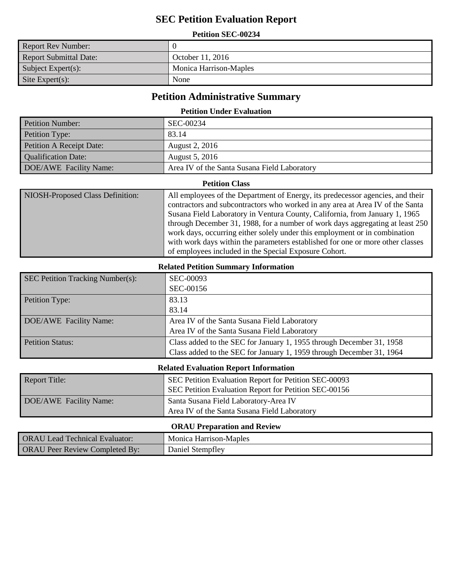## **SEC Petition Evaluation Report**

#### **Petition SEC-00234**

| <b>Report Rev Number:</b>     |                        |
|-------------------------------|------------------------|
| <b>Report Submittal Date:</b> | October 11, 2016       |
| Subject $Expert(s)$ :         | Monica Harrison-Maples |
| Site Expert(s):               | None                   |

### **Petition Administrative Summary**

| <b>Petition Under Evaluation</b> |                                              |  |
|----------------------------------|----------------------------------------------|--|
| <b>Petition Number:</b>          | SEC-00234                                    |  |
| Petition Type:                   | 83.14                                        |  |
| Petition A Receipt Date:         | August 2, 2016                               |  |
| <b>Qualification Date:</b>       | August 5, 2016                               |  |
| DOE/AWE Facility Name:           | Area IV of the Santa Susana Field Laboratory |  |

#### **Petition Class**

| NIOSH-Proposed Class Definition: | All employees of the Department of Energy, its predecessor agencies, and their |
|----------------------------------|--------------------------------------------------------------------------------|
|                                  | contractors and subcontractors who worked in any area at Area IV of the Santa  |
|                                  | Susana Field Laboratory in Ventura County, California, from January 1, 1965    |
|                                  | through December 31, 1988, for a number of work days aggregating at least 250  |
|                                  | work days, occurring either solely under this employment or in combination     |
|                                  | with work days within the parameters established for one or more other classes |
|                                  | of employees included in the Special Exposure Cohort.                          |

#### **Related Petition Summary Information**

| <b>SEC Petition Tracking Number(s):</b> | SEC-00093                                                            |  |
|-----------------------------------------|----------------------------------------------------------------------|--|
|                                         | SEC-00156                                                            |  |
| Petition Type:                          | 83.13                                                                |  |
|                                         | 83.14                                                                |  |
| DOE/AWE Facility Name:                  | Area IV of the Santa Susana Field Laboratory                         |  |
|                                         | Area IV of the Santa Susana Field Laboratory                         |  |
| <b>Petition Status:</b>                 | Class added to the SEC for January 1, 1955 through December 31, 1958 |  |
|                                         | Class added to the SEC for January 1, 1959 through December 31, 1964 |  |

#### **Related Evaluation Report Information**

| Report Title:          | SEC Petition Evaluation Report for Petition SEC-00093<br>SEC Petition Evaluation Report for Petition SEC-00156 |  |
|------------------------|----------------------------------------------------------------------------------------------------------------|--|
| DOE/AWE Facility Name: | Santa Susana Field Laboratory-Area IV                                                                          |  |
|                        | Area IV of the Santa Susana Field Laboratory                                                                   |  |

#### **ORAU Preparation and Review**

| <b>ORAU Lead Technical Evaluator:</b> | ⊿ Monica Harrison-Maples |  |  |
|---------------------------------------|--------------------------|--|--|
| <b>ORAU Peer Review Completed By:</b> | Daniel Stempfley         |  |  |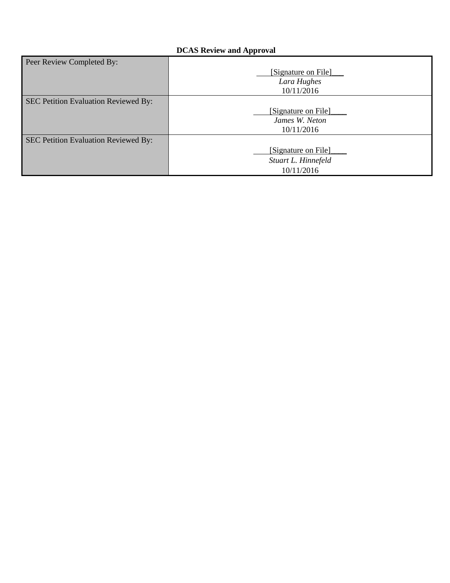#### **DCAS Review and Approval**

| Peer Review Completed By:                   |                     |
|---------------------------------------------|---------------------|
|                                             | [Signature on File] |
|                                             | Lara Hughes         |
|                                             | 10/11/2016          |
| <b>SEC Petition Evaluation Reviewed By:</b> |                     |
|                                             | [Signature on File] |
|                                             | James W. Neton      |
|                                             | 10/11/2016          |
| <b>SEC Petition Evaluation Reviewed By:</b> |                     |
|                                             | [Signature on File] |
|                                             | Stuart L. Hinnefeld |
|                                             | 10/11/2016          |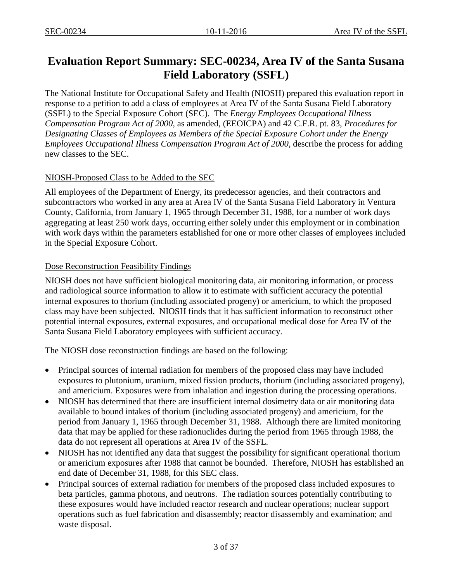## <span id="page-2-0"></span>**Evaluation Report Summary: SEC-00234, Area IV of the Santa Susana Field Laboratory (SSFL)**

The National Institute for Occupational Safety and Health (NIOSH) prepared this evaluation report in response to a petition to add a class of employees at Area IV of the Santa Susana Field Laboratory (SSFL) to the Special Exposure Cohort (SEC). The *Energy Employees Occupational Illness Compensation Program Act of 2000*, as amended, (EEOICPA) and 42 C.F.R. pt. 83, *Procedures for Designating Classes of Employees as Members of the Special Exposure Cohort under the Energy Employees Occupational Illness Compensation Program Act of 2000, describe the process for adding* new classes to the SEC.

#### NIOSH-Proposed Class to be Added to the SEC

All employees of the Department of Energy, its predecessor agencies, and their contractors and subcontractors who worked in any area at Area IV of the Santa Susana Field Laboratory in Ventura County, California, from January 1, 1965 through December 31, 1988, for a number of work days aggregating at least 250 work days, occurring either solely under this employment or in combination with work days within the parameters established for one or more other classes of employees included in the Special Exposure Cohort.

#### Dose Reconstruction Feasibility Findings

NIOSH does not have sufficient biological monitoring data, air monitoring information, or process and radiological source information to allow it to estimate with sufficient accuracy the potential internal exposures to thorium (including associated progeny) or americium, to which the proposed class may have been subjected. NIOSH finds that it has sufficient information to reconstruct other potential internal exposures, external exposures, and occupational medical dose for Area IV of the Santa Susana Field Laboratory employees with sufficient accuracy.

The NIOSH dose reconstruction findings are based on the following:

- Principal sources of internal radiation for members of the proposed class may have included exposures to plutonium, uranium, mixed fission products, thorium (including associated progeny), and americium. Exposures were from inhalation and ingestion during the processing operations.
- NIOSH has determined that there are insufficient internal dosimetry data or air monitoring data available to bound intakes of thorium (including associated progeny) and americium, for the period from January 1, 1965 through December 31, 1988. Although there are limited monitoring data that may be applied for these radionuclides during the period from 1965 through 1988, the data do not represent all operations at Area IV of the SSFL.
- NIOSH has not identified any data that suggest the possibility for significant operational thorium or americium exposures after 1988 that cannot be bounded. Therefore, NIOSH has established an end date of December 31, 1988, for this SEC class.
- Principal sources of external radiation for members of the proposed class included exposures to beta particles, gamma photons, and neutrons. The radiation sources potentially contributing to these exposures would have included reactor research and nuclear operations; nuclear support operations such as fuel fabrication and disassembly; reactor disassembly and examination; and waste disposal.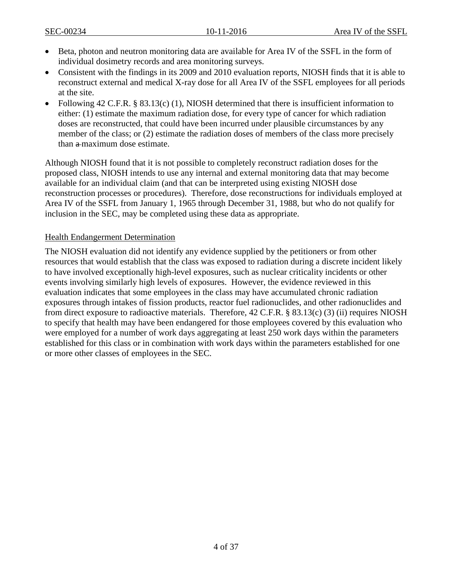- Beta, photon and neutron monitoring data are available for Area IV of the SSFL in the form of individual dosimetry records and area monitoring surveys.
- Consistent with the findings in its 2009 and 2010 evaluation reports, NIOSH finds that it is able to reconstruct external and medical X-ray dose for all Area IV of the SSFL employees for all periods at the site.
- Following 42 C.F.R. § 83.13(c) (1), NIOSH determined that there is insufficient information to either: (1) estimate the maximum radiation dose, for every type of cancer for which radiation doses are reconstructed, that could have been incurred under plausible circumstances by any member of the class; or (2) estimate the radiation doses of members of the class more precisely than a maximum dose estimate.

Although NIOSH found that it is not possible to completely reconstruct radiation doses for the proposed class, NIOSH intends to use any internal and external monitoring data that may become available for an individual claim (and that can be interpreted using existing NIOSH dose reconstruction processes or procedures). Therefore, dose reconstructions for individuals employed at Area IV of the SSFL from January 1, 1965 through December 31, 1988, but who do not qualify for inclusion in the SEC, may be completed using these data as appropriate.

#### Health Endangerment Determination

The NIOSH evaluation did not identify any evidence supplied by the petitioners or from other resources that would establish that the class was exposed to radiation during a discrete incident likely to have involved exceptionally high-level exposures, such as nuclear criticality incidents or other events involving similarly high levels of exposures. However, the evidence reviewed in this evaluation indicates that some employees in the class may have accumulated chronic radiation exposures through intakes of fission products, reactor fuel radionuclides, and other radionuclides and from direct exposure to radioactive materials. Therefore, 42 C.F.R. § 83.13(c) (3) (ii) requires NIOSH to specify that health may have been endangered for those employees covered by this evaluation who were employed for a number of work days aggregating at least 250 work days within the parameters established for this class or in combination with work days within the parameters established for one or more other classes of employees in the SEC.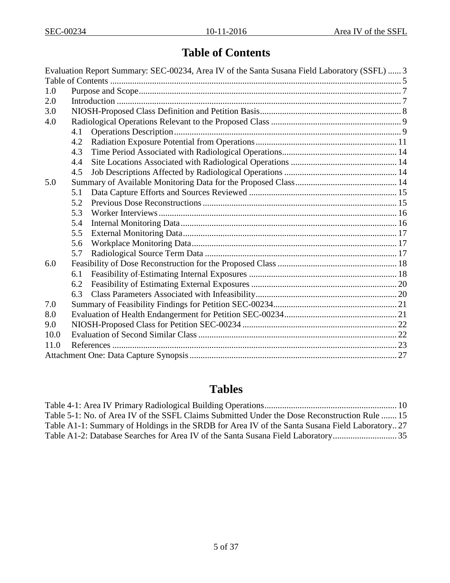# **Table of Contents**

<span id="page-4-0"></span>

|      |     | Evaluation Report Summary: SEC-00234, Area IV of the Santa Susana Field Laboratory (SSFL)  3 |  |  |  |
|------|-----|----------------------------------------------------------------------------------------------|--|--|--|
|      |     |                                                                                              |  |  |  |
| 1.0  |     |                                                                                              |  |  |  |
| 2.0  |     |                                                                                              |  |  |  |
| 3.0  |     |                                                                                              |  |  |  |
| 4.0  |     |                                                                                              |  |  |  |
|      | 4.1 |                                                                                              |  |  |  |
|      | 4.2 |                                                                                              |  |  |  |
|      | 4.3 |                                                                                              |  |  |  |
|      | 4.4 |                                                                                              |  |  |  |
|      | 4.5 |                                                                                              |  |  |  |
| 5.0  |     |                                                                                              |  |  |  |
|      | 5.1 |                                                                                              |  |  |  |
|      | 5.2 |                                                                                              |  |  |  |
|      | 5.3 |                                                                                              |  |  |  |
|      | 5.4 |                                                                                              |  |  |  |
|      | 5.5 |                                                                                              |  |  |  |
|      | 5.6 |                                                                                              |  |  |  |
|      | 5.7 |                                                                                              |  |  |  |
| 6.0  |     |                                                                                              |  |  |  |
|      | 6.1 |                                                                                              |  |  |  |
|      | 6.2 |                                                                                              |  |  |  |
|      | 6.3 |                                                                                              |  |  |  |
| 7.0  |     |                                                                                              |  |  |  |
| 8.0  |     |                                                                                              |  |  |  |
| 9.0  |     |                                                                                              |  |  |  |
| 10.0 |     |                                                                                              |  |  |  |
| 11.0 |     |                                                                                              |  |  |  |
|      |     |                                                                                              |  |  |  |

# **Tables**

| Table 5-1: No. of Area IV of the SSFL Claims Submitted Under the Dose Reconstruction Rule  15   |  |
|-------------------------------------------------------------------------------------------------|--|
| Table A1-1: Summary of Holdings in the SRDB for Area IV of the Santa Susana Field Laboratory 27 |  |
|                                                                                                 |  |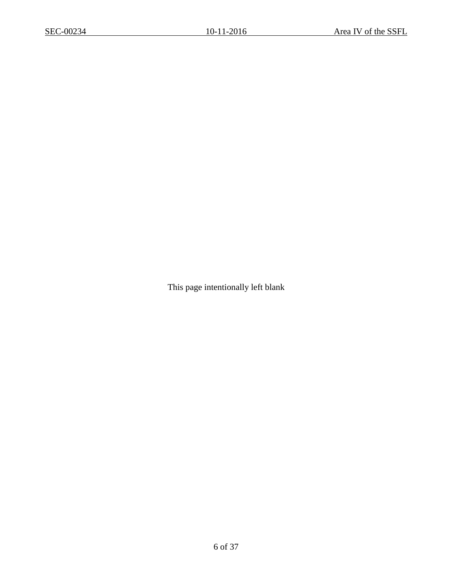This page intentionally left blank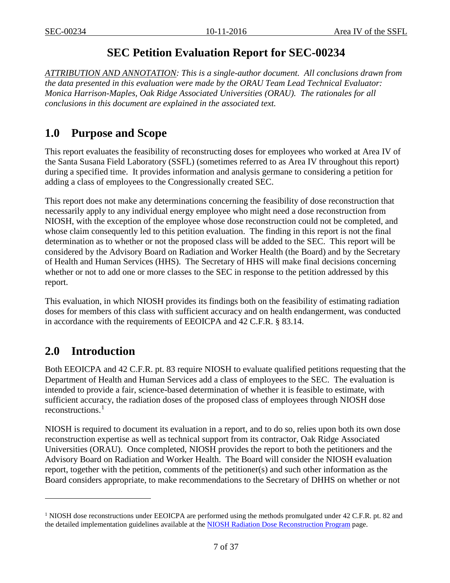## **SEC Petition Evaluation Report for SEC-00234**

*ATTRIBUTION AND ANNOTATION: This is a single-author document. All conclusions drawn from the data presented in this evaluation were made by the ORAU Team Lead Technical Evaluator: Monica Harrison-Maples, Oak Ridge Associated Universities (ORAU). The rationales for all conclusions in this document are explained in the associated text.* 

## <span id="page-6-0"></span>**1.0 Purpose and Scope**

This report evaluates the feasibility of reconstructing doses for employees who worked at Area IV of the Santa Susana Field Laboratory (SSFL) (sometimes referred to as Area IV throughout this report) during a specified time. It provides information and analysis germane to considering a petition for adding a class of employees to the Congressionally created SEC.

This report does not make any determinations concerning the feasibility of dose reconstruction that necessarily apply to any individual energy employee who might need a dose reconstruction from NIOSH, with the exception of the employee whose dose reconstruction could not be completed, and whose claim consequently led to this petition evaluation. The finding in this report is not the final determination as to whether or not the proposed class will be added to the SEC. This report will be considered by the Advisory Board on Radiation and Worker Health (the Board) and by the Secretary of Health and Human Services (HHS). The Secretary of HHS will make final decisions concerning whether or not to add one or more classes to the SEC in response to the petition addressed by this report.

This evaluation, in which NIOSH provides its findings both on the feasibility of estimating radiation doses for members of this class with sufficient accuracy and on health endangerment, was conducted in accordance with the requirements of EEOICPA and 42 C.F.R. § 83.14.

## <span id="page-6-1"></span>**2.0 Introduction**

 $\overline{a}$ 

Both EEOICPA and 42 C.F.R. pt. 83 require NIOSH to evaluate qualified petitions requesting that the Department of Health and Human Services add a class of employees to the SEC. The evaluation is intended to provide a fair, science-based determination of whether it is feasible to estimate, with sufficient accuracy, the radiation doses of the proposed class of employees through NIOSH dose reconstructions.<sup>[1](#page-6-2)</sup>

NIOSH is required to document its evaluation in a report, and to do so, relies upon both its own dose reconstruction expertise as well as technical support from its contractor, Oak Ridge Associated Universities (ORAU). Once completed, NIOSH provides the report to both the petitioners and the Advisory Board on Radiation and Worker Health. The Board will consider the NIOSH evaluation report, together with the petition, comments of the petitioner(s) and such other information as the Board considers appropriate, to make recommendations to the Secretary of DHHS on whether or not

<span id="page-6-2"></span><sup>&</sup>lt;sup>1</sup> NIOSH dose reconstructions under EEOICPA are performed using the methods promulgated under 42 C.F.R. pt. 82 and the detailed implementation guidelines available at th[e NIOSH Radiation Dose Reconstruction Program](http://www.cdc.gov/niosh/ocas/) page.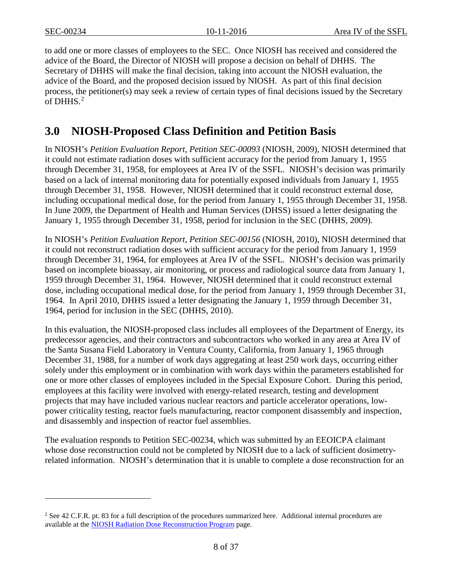$\overline{a}$ 

to add one or more classes of employees to the SEC. Once NIOSH has received and considered the advice of the Board, the Director of NIOSH will propose a decision on behalf of DHHS. The Secretary of DHHS will make the final decision, taking into account the NIOSH evaluation, the advice of the Board, and the proposed decision issued by NIOSH. As part of this final decision process, the petitioner(s) may seek a review of certain types of final decisions issued by the Secretary of DHHS. $^2$  $^2$ 

### <span id="page-7-0"></span>**3.0 NIOSH-Proposed Class Definition and Petition Basis**

In NIOSH's *Petition Evaluation Report, Petition SEC-00093* (NIOSH, 2009), NIOSH determined that it could not estimate radiation doses with sufficient accuracy for the period from January 1, 1955 through December 31, 1958, for employees at Area IV of the SSFL. NIOSH's decision was primarily based on a lack of internal monitoring data for potentially exposed individuals from January 1, 1955 through December 31, 1958. However, NIOSH determined that it could reconstruct external dose, including occupational medical dose, for the period from January 1, 1955 through December 31, 1958. In June 2009, the Department of Health and Human Services (DHSS) issued a letter designating the January 1, 1955 through December 31, 1958, period for inclusion in the SEC (DHHS, 2009).

In NIOSH's *Petition Evaluation Report, Petition SEC-00156* (NIOSH, 2010), NIOSH determined that it could not reconstruct radiation doses with sufficient accuracy for the period from January 1, 1959 through December 31, 1964, for employees at Area IV of the SSFL. NIOSH's decision was primarily based on incomplete bioassay, air monitoring, or process and radiological source data from January 1, 1959 through December 31, 1964. However, NIOSH determined that it could reconstruct external dose, including occupational medical dose, for the period from January 1, 1959 through December 31, 1964. In April 2010, DHHS issued a letter designating the January 1, 1959 through December 31, 1964, period for inclusion in the SEC (DHHS, 2010).

In this evaluation, the NIOSH-proposed class includes all employees of the Department of Energy, its predecessor agencies, and their contractors and subcontractors who worked in any area at Area IV of the Santa Susana Field Laboratory in Ventura County, California, from January 1, 1965 through December 31, 1988, for a number of work days aggregating at least 250 work days, occurring either solely under this employment or in combination with work days within the parameters established for one or more other classes of employees included in the Special Exposure Cohort. During this period, employees at this facility were involved with energy-related research, testing and development projects that may have included various nuclear reactors and particle accelerator operations, lowpower criticality testing, reactor fuels manufacturing, reactor component disassembly and inspection, and disassembly and inspection of reactor fuel assemblies.

The evaluation responds to Petition SEC-00234, which was submitted by an EEOICPA claimant whose dose reconstruction could not be completed by NIOSH due to a lack of sufficient dosimetryrelated information. NIOSH's determination that it is unable to complete a dose reconstruction for an

<span id="page-7-1"></span><sup>&</sup>lt;sup>2</sup> See 42 C.F.R. pt. 83 for a full description of the procedures summarized here. Additional internal procedures are available at the [NIOSH Radiation Dose Reconstruction Program](http://www.cdc.gov/niosh/ocas/) page.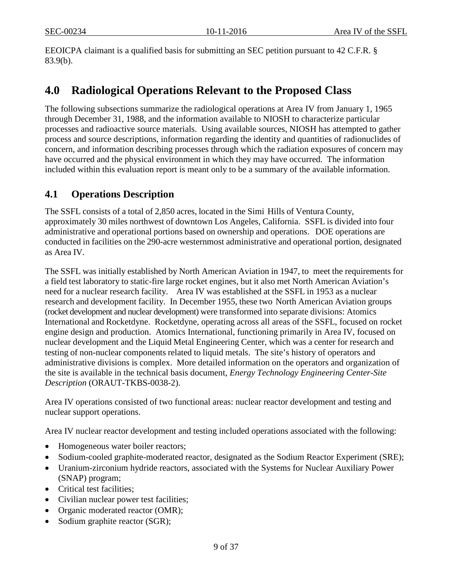EEOICPA claimant is a qualified basis for submitting an SEC petition pursuant to 42 C.F.R. § 83.9(b).

## <span id="page-8-0"></span>**4.0 Radiological Operations Relevant to the Proposed Class**

The following subsections summarize the radiological operations at Area IV from January 1, 1965 through December 31, 1988, and the information available to NIOSH to characterize particular processes and radioactive source materials. Using available sources, NIOSH has attempted to gather process and source descriptions, information regarding the identity and quantities of radionuclides of concern, and information describing processes through which the radiation exposures of concern may have occurred and the physical environment in which they may have occurred. The information included within this evaluation report is meant only to be a summary of the available information.

#### <span id="page-8-1"></span>**4.1 Operations Description**

The SSFL consists of a total of 2,850 acres, located in the Simi Hills of Ventura County, approximately 30 miles northwest of downtown Los Angeles, California. SSFL is divided into four administrative and operational portions based on ownership and operations. DOE operations are conducted in facilities on the 290-acre westernmost administrative and operational portion, designated as Area IV.

The SSFL was initially established by North American Aviation in 1947, to meet the requirements for a field test laboratory to static-fire large rocket engines, but it also met North American Aviation's need for a nuclear research facility. Area IV was established at the SSFL in 1953 as a nuclear research and development facility. In December 1955, these two North American Aviation groups (rocket development and nuclear development) were transformed into separate divisions: Atomics International and Rocketdyne. Rocketdyne, operating across all areas of the SSFL, focused on rocket engine design and production. Atomics International, functioning primarily in Area IV, focused on nuclear development and the Liquid Metal Engineering Center, which was a center for research and testing of non-nuclear components related to liquid metals. The site's history of operators and administrative divisions is complex. More detailed information on the operators and organization of the site is available in the technical basis document, *Energy Technology Engineering Center-Site Description* (ORAUT-TKBS-0038-2).

Area IV operations consisted of two functional areas: nuclear reactor development and testing and nuclear support operations.

Area IV nuclear reactor development and testing included operations associated with the following:

- Homogeneous water boiler reactors;
- Sodium-cooled graphite-moderated reactor, designated as the Sodium Reactor Experiment (SRE);
- Uranium-zirconium hydride reactors, associated with the Systems for Nuclear Auxiliary Power (SNAP) program;
- Critical test facilities;
- Civilian nuclear power test facilities;
- Organic moderated reactor (OMR);
- Sodium graphite reactor (SGR);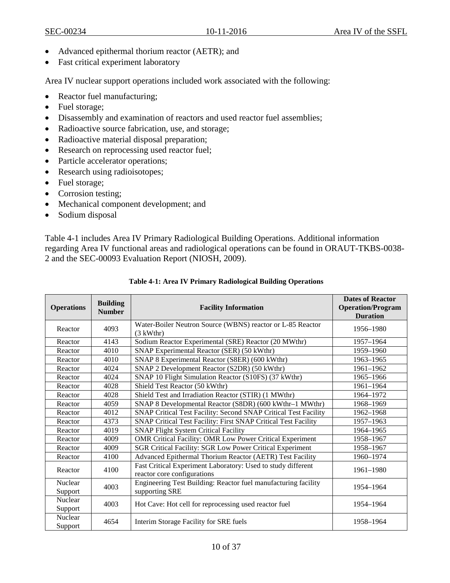- Advanced epithermal thorium reactor (AETR); and
- Fast critical experiment laboratory

Area IV nuclear support operations included work associated with the following:

- Reactor fuel manufacturing;
- Fuel storage;
- Disassembly and examination of reactors and used reactor fuel assemblies;
- Radioactive source fabrication, use, and storage;
- Radioactive material disposal preparation;
- Research on reprocessing used reactor fuel;
- Particle accelerator operations;
- Research using radioisotopes;
- Fuel storage;
- Corrosion testing;
- Mechanical component development; and
- Sodium disposal

Table 4-1 includes Area IV Primary Radiological Building Operations. Additional information regarding Area IV functional areas and radiological operations can be found in ORAUT-TKBS-0038- 2 and the SEC-00093 Evaluation Report (NIOSH, 2009).

<span id="page-9-0"></span>

| <b>Operations</b>         | <b>Building</b><br><b>Number</b> | <b>Facility Information</b>                                                                 | <b>Dates of Reactor</b><br><b>Operation/Program</b><br><b>Duration</b> |
|---------------------------|----------------------------------|---------------------------------------------------------------------------------------------|------------------------------------------------------------------------|
| Reactor                   | 4093                             | Water-Boiler Neutron Source (WBNS) reactor or L-85 Reactor<br>$(3$ kWthr)                   | 1956-1980                                                              |
| Reactor                   | 4143                             | Sodium Reactor Experimental (SRE) Reactor (20 MWthr)                                        | 1957-1964                                                              |
| Reactor                   | 4010                             | SNAP Experimental Reactor (SER) (50 kWthr)                                                  | 1959-1960                                                              |
| Reactor                   | 4010                             | SNAP 8 Experimental Reactor (S8ER) (600 kWthr)                                              | 1963-1965                                                              |
| Reactor                   | 4024                             | SNAP 2 Development Reactor (S2DR) (50 kWthr)                                                | 1961-1962                                                              |
| Reactor                   | 4024                             | SNAP 10 Flight Simulation Reactor (S10FS) (37 kWthr)                                        | 1965-1966                                                              |
| Reactor                   | 4028                             | Shield Test Reactor (50 kWthr)                                                              | 1961-1964                                                              |
| Reactor                   | 4028                             | Shield Test and Irradiation Reactor (STIR) (1 MWthr)                                        | 1964-1972                                                              |
| Reactor                   | 4059                             | SNAP 8 Developmental Reactor (S8DR) (600 kWthr-1 MWthr)                                     | 1968-1969                                                              |
| Reactor                   | 4012                             | SNAP Critical Test Facility: Second SNAP Critical Test Facility                             | 1962-1968                                                              |
| Reactor                   | 4373                             | SNAP Critical Test Facility: First SNAP Critical Test Facility                              | 1957-1963                                                              |
| Reactor                   | 4019                             | <b>SNAP Flight System Critical Facility</b>                                                 | 1964-1965                                                              |
| Reactor                   | 4009                             | OMR Critical Facility: OMR Low Power Critical Experiment                                    | 1958-1967                                                              |
| Reactor                   | 4009                             | SGR Critical Facility: SGR Low Power Critical Experiment                                    | 1958-1967                                                              |
| Reactor                   | 4100                             | Advanced Epithermal Thorium Reactor (AETR) Test Facility                                    | 1960-1974                                                              |
| Reactor                   | 4100                             | Fast Critical Experiment Laboratory: Used to study different<br>reactor core configurations | 1961-1980                                                              |
| <b>Nuclear</b><br>Support | 4003                             | Engineering Test Building: Reactor fuel manufacturing facility<br>supporting SRE            | 1954-1964                                                              |
| Nuclear<br>Support        | 4003                             | Hot Cave: Hot cell for reprocessing used reactor fuel                                       | 1954-1964                                                              |
| Nuclear<br>Support        | 4654                             | Interim Storage Facility for SRE fuels                                                      | 1958-1964                                                              |

#### **Table 4-1: Area IV Primary Radiological Building Operations**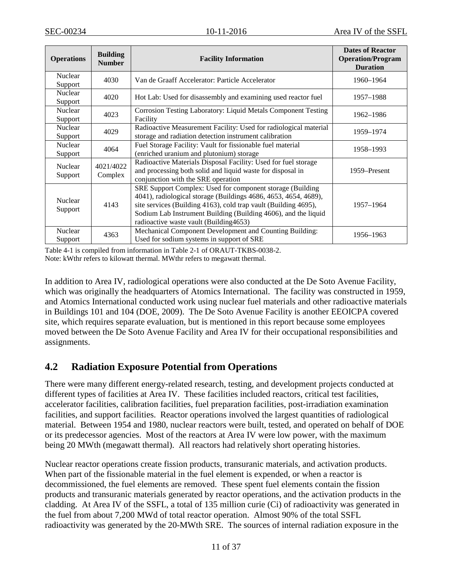| <b>Operations</b>         | <b>Building</b><br><b>Number</b> | <b>Facility Information</b>                                                                                                                                                                                                                                                                                  | <b>Dates of Reactor</b><br><b>Operation/Program</b><br><b>Duration</b> |
|---------------------------|----------------------------------|--------------------------------------------------------------------------------------------------------------------------------------------------------------------------------------------------------------------------------------------------------------------------------------------------------------|------------------------------------------------------------------------|
| <b>Nuclear</b><br>Support | 4030                             | Van de Graaff Accelerator: Particle Accelerator                                                                                                                                                                                                                                                              | 1960-1964                                                              |
| Nuclear<br>Support        | 4020                             | Hot Lab: Used for disassembly and examining used reactor fuel                                                                                                                                                                                                                                                | 1957–1988                                                              |
| <b>Nuclear</b><br>Support | 4023                             | Corrosion Testing Laboratory: Liquid Metals Component Testing<br>Facility                                                                                                                                                                                                                                    | 1962-1986                                                              |
| Nuclear<br>Support        | 4029                             | Radioactive Measurement Facility: Used for radiological material<br>storage and radiation detection instrument calibration                                                                                                                                                                                   | 1959-1974                                                              |
| Nuclear<br>Support        | 4064                             | Fuel Storage Facility: Vault for fissionable fuel material<br>(enriched uranium and plutonium) storage                                                                                                                                                                                                       | 1958–1993                                                              |
| Nuclear<br>Support        | 4021/4022<br>Complex             | Radioactive Materials Disposal Facility: Used for fuel storage<br>and processing both solid and liquid waste for disposal in<br>conjunction with the SRE operation                                                                                                                                           | 1959–Present                                                           |
| Nuclear<br>Support        | 4143                             | SRE Support Complex: Used for component storage (Building)<br>4041), radiological storage (Buildings 4686, 4653, 4654, 4689),<br>site services (Building 4163), cold trap vault (Building 4695),<br>Sodium Lab Instrument Building (Building 4606), and the liquid<br>radioactive waste vault (Building4653) | 1957-1964                                                              |
| Nuclear<br>Support        | 4363                             | Mechanical Component Development and Counting Building:<br>Used for sodium systems in support of SRE                                                                                                                                                                                                         | 1956–1963                                                              |

Table 4-1 is compiled from information in Table 2-1 of ORAUT-TKBS-0038-2. Note: kWthr refers to kilowatt thermal. MWthr refers to megawatt thermal.

In addition to Area IV, radiological operations were also conducted at the De Soto Avenue Facility, which was originally the headquarters of Atomics International. The facility was constructed in 1959, and Atomics International conducted work using nuclear fuel materials and other radioactive materials in Buildings 101 and 104 (DOE, 2009). The De Soto Avenue Facility is another EEOICPA covered site, which requires separate evaluation, but is mentioned in this report because some employees moved between the De Soto Avenue Facility and Area IV for their occupational responsibilities and

assignments.

#### <span id="page-10-0"></span>**4.2 Radiation Exposure Potential from Operations**

There were many different energy-related research, testing, and development projects conducted at different types of facilities at Area IV. These facilities included reactors, critical test facilities, accelerator facilities, calibration facilities, fuel preparation facilities, post-irradiation examination facilities, and support facilities. Reactor operations involved the largest quantities of radiological material. Between 1954 and 1980, nuclear reactors were built, tested, and operated on behalf of DOE or its predecessor agencies. Most of the reactors at Area IV were low power, with the maximum being 20 MWth (megawatt thermal). All reactors had relatively short operating histories.

Nuclear reactor operations create fission products, transuranic materials, and activation products. When part of the fissionable material in the fuel element is expended, or when a reactor is decommissioned, the fuel elements are removed. These spent fuel elements contain the fission products and transuranic materials generated by reactor operations, and the activation products in the cladding. At Area IV of the SSFL, a total of 135 million curie (Ci) of radioactivity was generated in the fuel from about 7,200 MWd of total reactor operation. Almost 90% of the total SSFL radioactivity was generated by the 20-MWth SRE. The sources of internal radiation exposure in the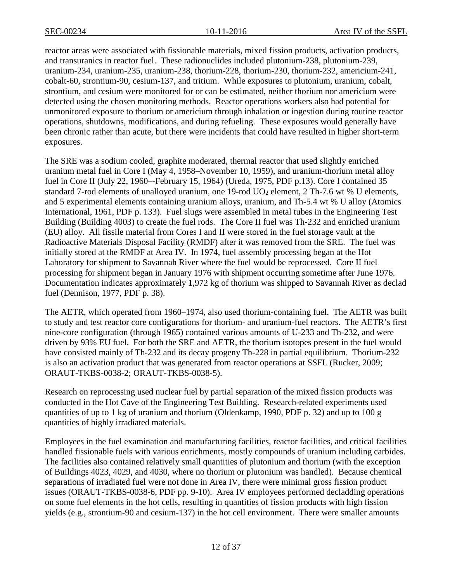reactor areas were associated with fissionable materials, mixed fission products, activation products, and transuranics in reactor fuel. These radionuclides included plutonium-238, plutonium-239, uranium-234, uranium-235, uranium-238, thorium-228, thorium-230, thorium-232, americium-241, cobalt-60, strontium-90, cesium-137, and tritium. While exposures to plutonium, uranium, cobalt, strontium, and cesium were monitored for or can be estimated, neither thorium nor americium were detected using the chosen monitoring methods. Reactor operations workers also had potential for unmonitored exposure to thorium or americium through inhalation or ingestion during routine reactor operations, shutdowns, modifications, and during refueling. These exposures would generally have been chronic rather than acute, but there were incidents that could have resulted in higher short-term exposures.

The SRE was a sodium cooled, graphite moderated, thermal reactor that used slightly enriched uranium metal fuel in Core I (May 4, 1958–November 10, 1959), and uranium-thorium metal alloy fuel in Core II (July 22, 1960–-February 15, 1964) (Ureda, 1975, PDF p.13). Core I contained 35 standard 7-rod elements of unalloyed uranium, one  $19$ -rod  $UO<sub>2</sub>$  element,  $2 Th-7.6 wt$  % U elements, and 5 experimental elements containing uranium alloys, uranium, and Th-5.4 wt % U alloy (Atomics International, 1961, PDF p. 133). Fuel slugs were assembled in metal tubes in the Engineering Test Building (Building 4003) to create the fuel rods. The Core II fuel was Th-232 and enriched uranium (EU) alloy. All fissile material from Cores I and II were stored in the fuel storage vault at the Radioactive Materials Disposal Facility (RMDF) after it was removed from the SRE. The fuel was initially stored at the RMDF at Area IV. In 1974, fuel assembly processing began at the Hot Laboratory for shipment to Savannah River where the fuel would be reprocessed. Core II fuel processing for shipment began in January 1976 with shipment occurring sometime after June 1976. Documentation indicates approximately 1,972 kg of thorium was shipped to Savannah River as declad fuel (Dennison, 1977, PDF p. 38).

The AETR, which operated from 1960–1974, also used thorium-containing fuel. The AETR was built to study and test reactor core configurations for thorium- and uranium-fuel reactors. The AETR's first nine-core configuration (through 1965) contained various amounts of U-233 and Th-232, and were driven by 93% EU fuel. For both the SRE and AETR, the thorium isotopes present in the fuel would have consisted mainly of Th-232 and its decay progeny Th-228 in partial equilibrium. Thorium-232 is also an activation product that was generated from reactor operations at SSFL (Rucker, 2009; ORAUT-TKBS-0038-2; ORAUT-TKBS-0038-5).

Research on reprocessing used nuclear fuel by partial separation of the mixed fission products was conducted in the Hot Cave of the Engineering Test Building. Research-related experiments used quantities of up to 1 kg of uranium and thorium (Oldenkamp, 1990, PDF p. 32) and up to 100 g quantities of highly irradiated materials.

Employees in the fuel examination and manufacturing facilities, reactor facilities, and critical facilities handled fissionable fuels with various enrichments, mostly compounds of uranium including carbides. The facilities also contained relatively small quantities of plutonium and thorium (with the exception of Buildings 4023, 4029, and 4030, where no thorium or plutonium was handled). Because chemical separations of irradiated fuel were not done in Area IV, there were minimal gross fission product issues (ORAUT-TKBS-0038-6, PDF pp. 9-10). Area IV employees performed decladding operations on some fuel elements in the hot cells, resulting in quantities of fission products with high fission yields (e.g., strontium-90 and cesium-137) in the hot cell environment. There were smaller amounts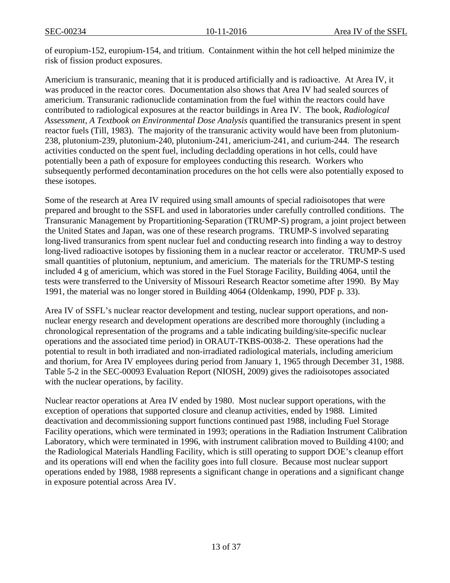of europium-152, europium-154, and tritium. Containment within the hot cell helped minimize the risk of fission product exposures.

Americium is transuranic, meaning that it is produced artificially and is radioactive. At Area IV, it was produced in the reactor cores. Documentation also shows that Area IV had sealed sources of americium. Transuranic radionuclide contamination from the fuel within the reactors could have contributed to radiological exposures at the reactor buildings in Area IV. The book, *Radiological Assessment, A Textbook on Environmental Dose Analysis* quantified the transuranics present in spent reactor fuels (Till, 1983). The majority of the transuranic activity would have been from plutonium-238, plutonium-239, plutonium-240, plutonium-241, americium-241, and curium-244. The research activities conducted on the spent fuel, including decladding operations in hot cells, could have potentially been a path of exposure for employees conducting this research. Workers who subsequently performed decontamination procedures on the hot cells were also potentially exposed to these isotopes.

Some of the research at Area IV required using small amounts of special radioisotopes that were prepared and brought to the SSFL and used in laboratories under carefully controlled conditions. The Transuranic Management by Propartitioning-Separation (TRUMP-S) program, a joint project between the United States and Japan, was one of these research programs. TRUMP-S involved separating long-lived transuranics from spent nuclear fuel and conducting research into finding a way to destroy long-lived radioactive isotopes by fissioning them in a nuclear reactor or accelerator. TRUMP-S used small quantities of plutonium, neptunium, and americium. The materials for the TRUMP-S testing included 4 g of americium, which was stored in the Fuel Storage Facility, Building 4064, until the tests were transferred to the University of Missouri Research Reactor sometime after 1990. By May 1991, the material was no longer stored in Building 4064 (Oldenkamp, 1990, PDF p. 33).

Area IV of SSFL's nuclear reactor development and testing, nuclear support operations, and nonnuclear energy research and development operations are described more thoroughly (including a chronological representation of the programs and a table indicating building/site-specific nuclear operations and the associated time period) in ORAUT-TKBS-0038-2. These operations had the potential to result in both irradiated and non-irradiated radiological materials, including americium and thorium, for Area IV employees during period from January 1, 1965 through December 31, 1988. Table 5-2 in the SEC-00093 Evaluation Report (NIOSH, 2009) gives the radioisotopes associated with the nuclear operations, by facility.

Nuclear reactor operations at Area IV ended by 1980. Most nuclear support operations, with the exception of operations that supported closure and cleanup activities, ended by 1988. Limited deactivation and decommissioning support functions continued past 1988, including Fuel Storage Facility operations, which were terminated in 1993; operations in the Radiation Instrument Calibration Laboratory, which were terminated in 1996, with instrument calibration moved to Building 4100; and the Radiological Materials Handling Facility, which is still operating to support DOE's cleanup effort and its operations will end when the facility goes into full closure. Because most nuclear support operations ended by 1988, 1988 represents a significant change in operations and a significant change in exposure potential across Area IV.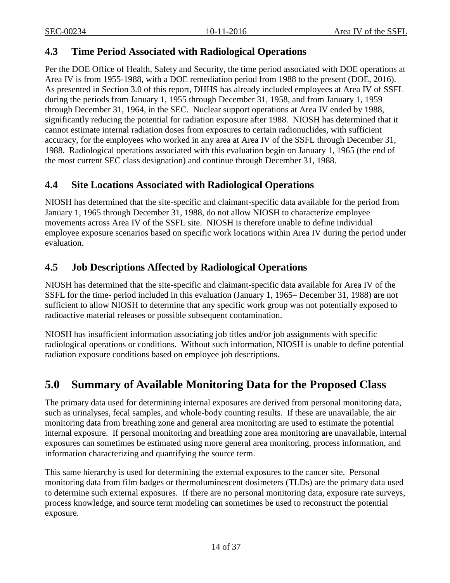### <span id="page-13-0"></span>**4.3 Time Period Associated with Radiological Operations**

Per the DOE Office of Health, Safety and Security, the time period associated with DOE operations at Area IV is from 1955-1988, with a DOE remediation period from 1988 to the present (DOE, 2016). As presented in Section 3.0 of this report, DHHS has already included employees at Area IV of SSFL during the periods from January 1, 1955 through December 31, 1958, and from January 1, 1959 through December 31, 1964, in the SEC. Nuclear support operations at Area IV ended by 1988, significantly reducing the potential for radiation exposure after 1988. NIOSH has determined that it cannot estimate internal radiation doses from exposures to certain radionuclides, with sufficient accuracy, for the employees who worked in any area at Area IV of the SSFL through December 31, 1988. Radiological operations associated with this evaluation begin on January 1, 1965 (the end of the most current SEC class designation) and continue through December 31, 1988.

### <span id="page-13-1"></span>**4.4 Site Locations Associated with Radiological Operations**

NIOSH has determined that the site-specific and claimant-specific data available for the period from January 1, 1965 through December 31, 1988, do not allow NIOSH to characterize employee movements across Area IV of the SSFL site. NIOSH is therefore unable to define individual employee exposure scenarios based on specific work locations within Area IV during the period under evaluation.

### <span id="page-13-2"></span>**4.5 Job Descriptions Affected by Radiological Operations**

NIOSH has determined that the site-specific and claimant-specific data available for Area IV of the SSFL for the time- period included in this evaluation (January 1, 1965– December 31, 1988) are not sufficient to allow NIOSH to determine that any specific work group was not potentially exposed to radioactive material releases or possible subsequent contamination.

NIOSH has insufficient information associating job titles and/or job assignments with specific radiological operations or conditions. Without such information, NIOSH is unable to define potential radiation exposure conditions based on employee job descriptions.

## <span id="page-13-3"></span>**5.0 Summary of Available Monitoring Data for the Proposed Class**

The primary data used for determining internal exposures are derived from personal monitoring data, such as urinalyses, fecal samples, and whole-body counting results. If these are unavailable, the air monitoring data from breathing zone and general area monitoring are used to estimate the potential internal exposure. If personal monitoring and breathing zone area monitoring are unavailable, internal exposures can sometimes be estimated using more general area monitoring, process information, and information characterizing and quantifying the source term.

This same hierarchy is used for determining the external exposures to the cancer site. Personal monitoring data from film badges or thermoluminescent dosimeters (TLDs) are the primary data used to determine such external exposures. If there are no personal monitoring data, exposure rate surveys, process knowledge, and source term modeling can sometimes be used to reconstruct the potential exposure.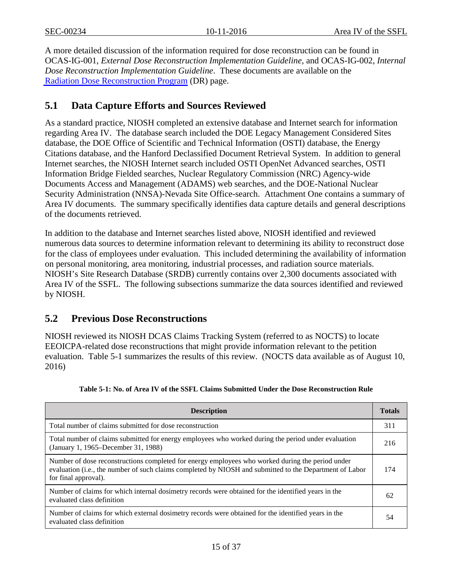A more detailed discussion of the information required for dose reconstruction can be found in OCAS-IG-001, *External Dose Reconstruction Implementation Guideline,* and OCAS-IG-002, *Internal Dose Reconstruction Implementation Guideline*. These documents are available on the [Radiation Dose Reconstruction Program](http://www.cdc.gov/niosh/ocas/ocasdose.html) (DR) page.

#### <span id="page-14-0"></span>**5.1 Data Capture Efforts and Sources Reviewed**

As a standard practice, NIOSH completed an extensive database and Internet search for information regarding Area IV. The database search included the DOE Legacy Management Considered Sites database, the DOE Office of Scientific and Technical Information (OSTI) database, the Energy Citations database, and the Hanford Declassified Document Retrieval System. In addition to general Internet searches, the NIOSH Internet search included OSTI OpenNet Advanced searches, OSTI Information Bridge Fielded searches, Nuclear Regulatory Commission (NRC) Agency-wide Documents Access and Management (ADAMS) web searches, and the DOE-National Nuclear Security Administration (NNSA)-Nevada Site Office-search. Attachment One contains a summary of Area IV documents. The summary specifically identifies data capture details and general descriptions of the documents retrieved.

In addition to the database and Internet searches listed above, NIOSH identified and reviewed numerous data sources to determine information relevant to determining its ability to reconstruct dose for the class of employees under evaluation. This included determining the availability of information on personal monitoring, area monitoring, industrial processes, and radiation source materials. NIOSH's Site Research Database (SRDB) currently contains over 2,300 documents associated with Area IV of the SSFL. The following subsections summarize the data sources identified and reviewed by NIOSH.

### <span id="page-14-1"></span>**5.2 Previous Dose Reconstructions**

NIOSH reviewed its NIOSH DCAS Claims Tracking System (referred to as NOCTS) to locate EEOICPA-related dose reconstructions that might provide information relevant to the petition evaluation. Table 5-1 summarizes the results of this review. (NOCTS data available as of August 10, 2016)

<span id="page-14-2"></span>

| <b>Description</b>                                                                                                                                                                                                                  | <b>Totals</b> |
|-------------------------------------------------------------------------------------------------------------------------------------------------------------------------------------------------------------------------------------|---------------|
| Total number of claims submitted for dose reconstruction                                                                                                                                                                            | 311           |
| Total number of claims submitted for energy employees who worked during the period under evaluation<br>(January 1, 1965–December 31, 1988)                                                                                          | 216           |
| Number of dose reconstructions completed for energy employees who worked during the period under<br>evaluation (i.e., the number of such claims completed by NIOSH and submitted to the Department of Labor<br>for final approval). | 174           |
| Number of claims for which internal dosimetry records were obtained for the identified years in the<br>evaluated class definition                                                                                                   | 62            |
| Number of claims for which external dosimetry records were obtained for the identified years in the<br>evaluated class definition                                                                                                   | 54            |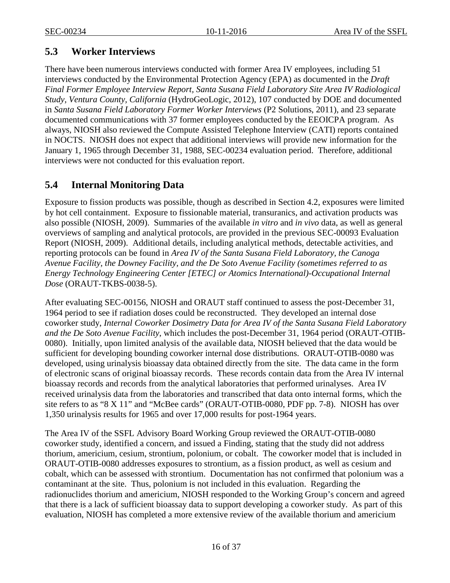### <span id="page-15-0"></span>**5.3 Worker Interviews**

There have been numerous interviews conducted with former Area IV employees, including 51 interviews conducted by the Environmental Protection Agency (EPA) as documented in the *Draft Final Former Employee Interview Report, Santa Susana Field Laboratory Site Area IV Radiological Study, Ventura County, California* (HydroGeoLogic, 2012), 107 conducted by DOE and documented in *Santa Susana Field Laboratory Former Worker Interviews* (P2 Solutions, 2011), and 23 separate documented communications with 37 former employees conducted by the EEOICPA program. As always, NIOSH also reviewed the Compute Assisted Telephone Interview (CATI) reports contained in NOCTS. NIOSH does not expect that additional interviews will provide new information for the January 1, 1965 through December 31, 1988, SEC-00234 evaluation period. Therefore, additional interviews were not conducted for this evaluation report.

### <span id="page-15-1"></span>**5.4 Internal Monitoring Data**

Exposure to fission products was possible, though as described in Section 4.2, exposures were limited by hot cell containment. Exposure to fissionable material, transuranics, and activation products was also possible (NIOSH, 2009). Summaries of the available *in vitro* and *in vivo* data, as well as general overviews of sampling and analytical protocols, are provided in the previous SEC-00093 Evaluation Report (NIOSH, 2009). Additional details, including analytical methods, detectable activities, and reporting protocols can be found in *Area IV of the Santa Susana Field Laboratory, the Canoga Avenue Facility, the Downey Facility, and the De Soto Avenue Facility (sometimes referred to as Energy Technology Engineering Center [ETEC] or Atomics International)-Occupational Internal Dose* (ORAUT-TKBS-0038-5).

After evaluating SEC-00156, NIOSH and ORAUT staff continued to assess the post-December 31, 1964 period to see if radiation doses could be reconstructed. They developed an internal dose coworker study, *Internal Coworker Dosimetry Data for Area IV of the Santa Susana Field Laboratory and the De Soto Avenue Facility*, which includes the post-December 31, 1964 period (ORAUT-OTIB-0080). Initially, upon limited analysis of the available data, NIOSH believed that the data would be sufficient for developing bounding coworker internal dose distributions. ORAUT-OTIB-0080 was developed, using urinalysis bioassay data obtained directly from the site. The data came in the form of electronic scans of original bioassay records. These records contain data from the Area IV internal bioassay records and records from the analytical laboratories that performed urinalyses. Area IV received urinalysis data from the laboratories and transcribed that data onto internal forms, which the site refers to as "8 X 11" and "McBee cards" (ORAUT-OTIB-0080, PDF pp. 7-8). NIOSH has over 1,350 urinalysis results for 1965 and over 17,000 results for post-1964 years.

The Area IV of the SSFL Advisory Board Working Group reviewed the ORAUT-OTIB-0080 coworker study, identified a concern, and issued a Finding, stating that the study did not address thorium, americium, cesium, strontium, polonium, or cobalt. The coworker model that is included in ORAUT-OTIB-0080 addresses exposures to strontium, as a fission product, as well as cesium and cobalt, which can be assessed with strontium. Documentation has not confirmed that polonium was a contaminant at the site. Thus, polonium is not included in this evaluation. Regarding the radionuclides thorium and americium, NIOSH responded to the Working Group's concern and agreed that there is a lack of sufficient bioassay data to support developing a coworker study. As part of this evaluation, NIOSH has completed a more extensive review of the available thorium and americium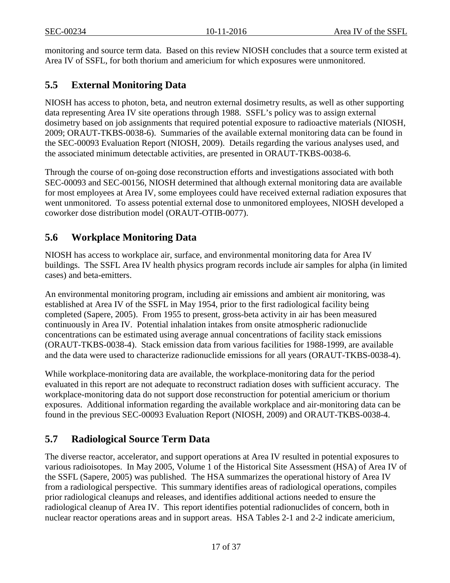monitoring and source term data. Based on this review NIOSH concludes that a source term existed at Area IV of SSFL, for both thorium and americium for which exposures were unmonitored.

### <span id="page-16-0"></span>**5.5 External Monitoring Data**

NIOSH has access to photon, beta, and neutron external dosimetry results, as well as other supporting data representing Area IV site operations through 1988. SSFL's policy was to assign external dosimetry based on job assignments that required potential exposure to radioactive materials (NIOSH, 2009; ORAUT-TKBS-0038-6). Summaries of the available external monitoring data can be found in the SEC-00093 Evaluation Report (NIOSH, 2009). Details regarding the various analyses used, and the associated minimum detectable activities, are presented in ORAUT-TKBS-0038-6.

Through the course of on-going dose reconstruction efforts and investigations associated with both SEC-00093 and SEC-00156, NIOSH determined that although external monitoring data are available for most employees at Area IV, some employees could have received external radiation exposures that went unmonitored. To assess potential external dose to unmonitored employees, NIOSH developed a coworker dose distribution model (ORAUT-OTIB-0077).

### <span id="page-16-1"></span>**5.6 Workplace Monitoring Data**

NIOSH has access to workplace air, surface, and environmental monitoring data for Area IV buildings. The SSFL Area IV health physics program records include air samples for alpha (in limited cases) and beta-emitters.

An environmental monitoring program, including air emissions and ambient air monitoring, was established at Area IV of the SSFL in May 1954, prior to the first radiological facility being completed (Sapere, 2005). From 1955 to present, gross-beta activity in air has been measured continuously in Area IV. Potential inhalation intakes from onsite atmospheric radionuclide concentrations can be estimated using average annual concentrations of facility stack emissions (ORAUT-TKBS-0038-4). Stack emission data from various facilities for 1988-1999, are available and the data were used to characterize radionuclide emissions for all years (ORAUT-TKBS-0038-4).

While workplace-monitoring data are available, the workplace-monitoring data for the period evaluated in this report are not adequate to reconstruct radiation doses with sufficient accuracy. The workplace-monitoring data do not support dose reconstruction for potential americium or thorium exposures. Additional information regarding the available workplace and air-monitoring data can be found in the previous SEC-00093 Evaluation Report (NIOSH, 2009) and ORAUT-TKBS-0038-4.

### <span id="page-16-2"></span>**5.7 Radiological Source Term Data**

The diverse reactor, accelerator, and support operations at Area IV resulted in potential exposures to various radioisotopes. In May 2005, Volume 1 of the Historical Site Assessment (HSA) of Area IV of the SSFL (Sapere, 2005) was published. The HSA summarizes the operational history of Area IV from a radiological perspective. This summary identifies areas of radiological operations, compiles prior radiological cleanups and releases, and identifies additional actions needed to ensure the radiological cleanup of Area IV. This report identifies potential radionuclides of concern, both in nuclear reactor operations areas and in support areas. HSA Tables 2-1 and 2-2 indicate americium,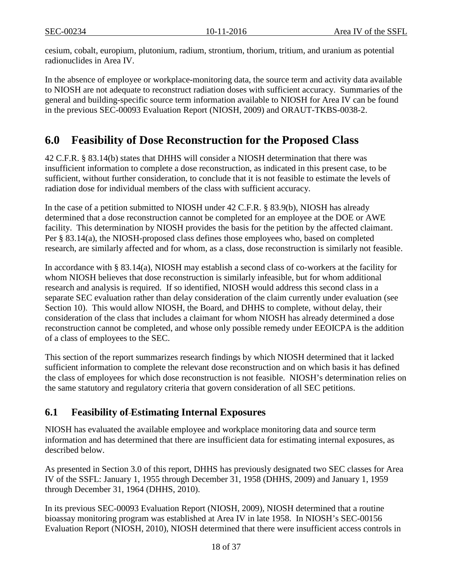cesium, cobalt, europium, plutonium, radium, strontium, thorium, tritium, and uranium as potential radionuclides in Area IV.

In the absence of employee or workplace-monitoring data, the source term and activity data available to NIOSH are not adequate to reconstruct radiation doses with sufficient accuracy. Summaries of the general and building-specific source term information available to NIOSH for Area IV can be found in the previous SEC-00093 Evaluation Report (NIOSH, 2009) and ORAUT-TKBS-0038-2.

## <span id="page-17-0"></span>**6.0 Feasibility of Dose Reconstruction for the Proposed Class**

42 C.F.R. § 83.14(b) states that DHHS will consider a NIOSH determination that there was insufficient information to complete a dose reconstruction, as indicated in this present case, to be sufficient, without further consideration, to conclude that it is not feasible to estimate the levels of radiation dose for individual members of the class with sufficient accuracy.

In the case of a petition submitted to NIOSH under 42 C.F.R. § 83.9(b), NIOSH has already determined that a dose reconstruction cannot be completed for an employee at the DOE or AWE facility. This determination by NIOSH provides the basis for the petition by the affected claimant. Per § 83.14(a), the NIOSH-proposed class defines those employees who, based on completed research, are similarly affected and for whom, as a class, dose reconstruction is similarly not feasible.

In accordance with § 83.14(a), NIOSH may establish a second class of co-workers at the facility for whom NIOSH believes that dose reconstruction is similarly infeasible, but for whom additional research and analysis is required. If so identified, NIOSH would address this second class in a separate SEC evaluation rather than delay consideration of the claim currently under evaluation (see Section 10). This would allow NIOSH, the Board, and DHHS to complete, without delay, their consideration of the class that includes a claimant for whom NIOSH has already determined a dose reconstruction cannot be completed, and whose only possible remedy under EEOICPA is the addition of a class of employees to the SEC.

This section of the report summarizes research findings by which NIOSH determined that it lacked sufficient information to complete the relevant dose reconstruction and on which basis it has defined the class of employees for which dose reconstruction is not feasible. NIOSH's determination relies on the same statutory and regulatory criteria that govern consideration of all SEC petitions.

### <span id="page-17-1"></span>**6.1 Feasibility of Estimating Internal Exposures**

NIOSH has evaluated the available employee and workplace monitoring data and source term information and has determined that there are insufficient data for estimating internal exposures, as described below.

As presented in Section 3.0 of this report, DHHS has previously designated two SEC classes for Area IV of the SSFL: January 1, 1955 through December 31, 1958 (DHHS, 2009) and January 1, 1959 through December 31, 1964 (DHHS, 2010).

In its previous SEC-00093 Evaluation Report (NIOSH, 2009), NIOSH determined that a routine bioassay monitoring program was established at Area IV in late 1958. In NIOSH's SEC-00156 Evaluation Report (NIOSH, 2010), NIOSH determined that there were insufficient access controls in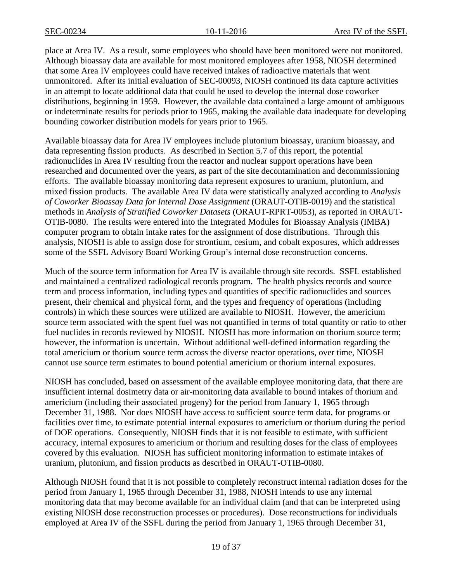place at Area IV. As a result, some employees who should have been monitored were not monitored. Although bioassay data are available for most monitored employees after 1958, NIOSH determined that some Area IV employees could have received intakes of radioactive materials that went unmonitored. After its initial evaluation of SEC-00093, NIOSH continued its data capture activities in an attempt to locate additional data that could be used to develop the internal dose coworker distributions, beginning in 1959. However, the available data contained a large amount of ambiguous or indeterminate results for periods prior to 1965, making the available data inadequate for developing bounding coworker distribution models for years prior to 1965.

Available bioassay data for Area IV employees include plutonium bioassay, uranium bioassay, and data representing fission products. As described in Section 5.7 of this report, the potential radionuclides in Area IV resulting from the reactor and nuclear support operations have been researched and documented over the years, as part of the site decontamination and decommissioning efforts. The available bioassay monitoring data represent exposures to uranium, plutonium, and mixed fission products. The available Area IV data were statistically analyzed according to *Analysis of Coworker Bioassay Data for Internal Dose Assignment* (ORAUT-OTIB-0019) and the statistical methods in *Analysis of Stratified Coworker Datasets* (ORAUT-RPRT-0053), as reported in ORAUT-OTIB-0080. The results were entered into the Integrated Modules for Bioassay Analysis (IMBA) computer program to obtain intake rates for the assignment of dose distributions. Through this analysis, NIOSH is able to assign dose for strontium, cesium, and cobalt exposures, which addresses some of the SSFL Advisory Board Working Group's internal dose reconstruction concerns.

Much of the source term information for Area IV is available through site records. SSFL established and maintained a centralized radiological records program. The health physics records and source term and process information, including types and quantities of specific radionuclides and sources present, their chemical and physical form, and the types and frequency of operations (including controls) in which these sources were utilized are available to NIOSH. However, the americium source term associated with the spent fuel was not quantified in terms of total quantity or ratio to other fuel nuclides in records reviewed by NIOSH. NIOSH has more information on thorium source term; however, the information is uncertain. Without additional well-defined information regarding the total americium or thorium source term across the diverse reactor operations, over time, NIOSH cannot use source term estimates to bound potential americium or thorium internal exposures.

NIOSH has concluded, based on assessment of the available employee monitoring data, that there are insufficient internal dosimetry data or air-monitoring data available to bound intakes of thorium and americium (including their associated progeny) for the period from January 1, 1965 through December 31, 1988. Nor does NIOSH have access to sufficient source term data, for programs or facilities over time, to estimate potential internal exposures to americium or thorium during the period of DOE operations. Consequently, NIOSH finds that it is not feasible to estimate, with sufficient accuracy, internal exposures to americium or thorium and resulting doses for the class of employees covered by this evaluation. NIOSH has sufficient monitoring information to estimate intakes of uranium, plutonium, and fission products as described in ORAUT-OTIB-0080.

Although NIOSH found that it is not possible to completely reconstruct internal radiation doses for the period from January 1, 1965 through December 31, 1988, NIOSH intends to use any internal monitoring data that may become available for an individual claim (and that can be interpreted using existing NIOSH dose reconstruction processes or procedures). Dose reconstructions for individuals employed at Area IV of the SSFL during the period from January 1, 1965 through December 31,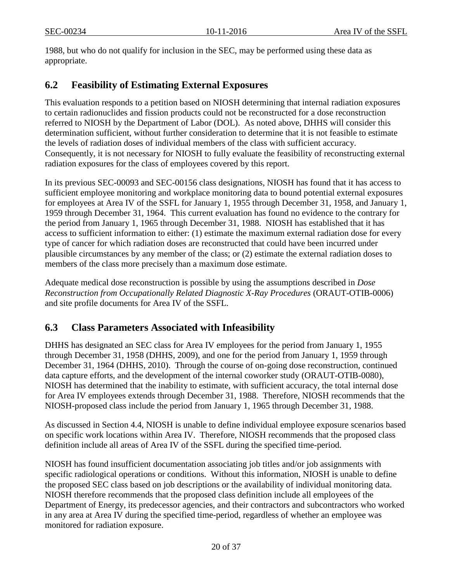1988, but who do not qualify for inclusion in the SEC, may be performed using these data as appropriate.

### <span id="page-19-0"></span>**6.2 Feasibility of Estimating External Exposures**

This evaluation responds to a petition based on NIOSH determining that internal radiation exposures to certain radionuclides and fission products could not be reconstructed for a dose reconstruction referred to NIOSH by the Department of Labor (DOL). As noted above, DHHS will consider this determination sufficient, without further consideration to determine that it is not feasible to estimate the levels of radiation doses of individual members of the class with sufficient accuracy. Consequently, it is not necessary for NIOSH to fully evaluate the feasibility of reconstructing external radiation exposures for the class of employees covered by this report.

In its previous SEC-00093 and SEC-00156 class designations, NIOSH has found that it has access to sufficient employee monitoring and workplace monitoring data to bound potential external exposures for employees at Area IV of the SSFL for January 1, 1955 through December 31, 1958, and January 1, 1959 through December 31, 1964. This current evaluation has found no evidence to the contrary for the period from January 1, 1965 through December 31, 1988. NIOSH has established that it has access to sufficient information to either: (1) estimate the maximum external radiation dose for every type of cancer for which radiation doses are reconstructed that could have been incurred under plausible circumstances by any member of the class; or (2) estimate the external radiation doses to members of the class more precisely than a maximum dose estimate.

Adequate medical dose reconstruction is possible by using the assumptions described in *Dose Reconstruction from Occupationally Related Diagnostic X-Ray Procedures* (ORAUT-OTIB-0006) and site profile documents for Area IV of the SSFL.

### <span id="page-19-1"></span>**6.3 Class Parameters Associated with Infeasibility**

DHHS has designated an SEC class for Area IV employees for the period from January 1, 1955 through December 31, 1958 (DHHS, 2009), and one for the period from January 1, 1959 through December 31, 1964 (DHHS, 2010). Through the course of on-going dose reconstruction, continued data capture efforts, and the development of the internal coworker study (ORAUT-OTIB-0080), NIOSH has determined that the inability to estimate, with sufficient accuracy, the total internal dose for Area IV employees extends through December 31, 1988. Therefore, NIOSH recommends that the NIOSH-proposed class include the period from January 1, 1965 through December 31, 1988.

As discussed in Section 4.4, NIOSH is unable to define individual employee exposure scenarios based on specific work locations within Area IV. Therefore, NIOSH recommends that the proposed class definition include all areas of Area IV of the SSFL during the specified time-period.

NIOSH has found insufficient documentation associating job titles and/or job assignments with specific radiological operations or conditions. Without this information, NIOSH is unable to define the proposed SEC class based on job descriptions or the availability of individual monitoring data. NIOSH therefore recommends that the proposed class definition include all employees of the Department of Energy, its predecessor agencies, and their contractors and subcontractors who worked in any area at Area IV during the specified time-period, regardless of whether an employee was monitored for radiation exposure.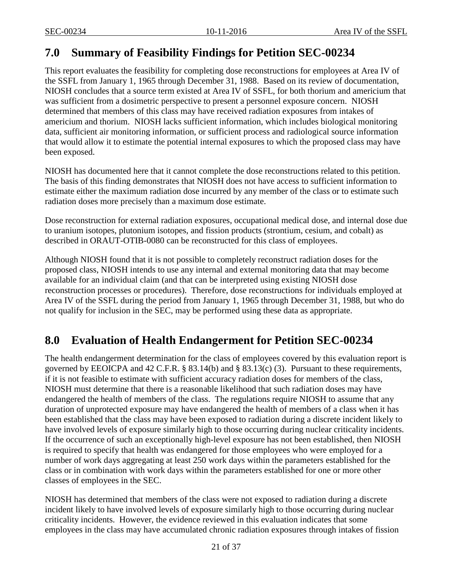## <span id="page-20-0"></span>**7.0 Summary of Feasibility Findings for Petition SEC-00234**

This report evaluates the feasibility for completing dose reconstructions for employees at Area IV of the SSFL from January 1, 1965 through December 31, 1988. Based on its review of documentation, NIOSH concludes that a source term existed at Area IV of SSFL, for both thorium and americium that was sufficient from a dosimetric perspective to present a personnel exposure concern. NIOSH determined that members of this class may have received radiation exposures from intakes of americium and thorium. NIOSH lacks sufficient information, which includes biological monitoring data, sufficient air monitoring information, or sufficient process and radiological source information that would allow it to estimate the potential internal exposures to which the proposed class may have been exposed.

NIOSH has documented here that it cannot complete the dose reconstructions related to this petition. The basis of this finding demonstrates that NIOSH does not have access to sufficient information to estimate either the maximum radiation dose incurred by any member of the class or to estimate such radiation doses more precisely than a maximum dose estimate.

Dose reconstruction for external radiation exposures, occupational medical dose, and internal dose due to uranium isotopes, plutonium isotopes, and fission products (strontium, cesium, and cobalt) as described in ORAUT-OTIB-0080 can be reconstructed for this class of employees.

Although NIOSH found that it is not possible to completely reconstruct radiation doses for the proposed class, NIOSH intends to use any internal and external monitoring data that may become available for an individual claim (and that can be interpreted using existing NIOSH dose reconstruction processes or procedures). Therefore, dose reconstructions for individuals employed at Area IV of the SSFL during the period from January 1, 1965 through December 31, 1988, but who do not qualify for inclusion in the SEC, may be performed using these data as appropriate.

## <span id="page-20-1"></span>**8.0 Evaluation of Health Endangerment for Petition SEC-00234**

The health endangerment determination for the class of employees covered by this evaluation report is governed by EEOICPA and 42 C.F.R. § 83.14(b) and § 83.13(c) (3). Pursuant to these requirements, if it is not feasible to estimate with sufficient accuracy radiation doses for members of the class, NIOSH must determine that there is a reasonable likelihood that such radiation doses may have endangered the health of members of the class. The regulations require NIOSH to assume that any duration of unprotected exposure may have endangered the health of members of a class when it has been established that the class may have been exposed to radiation during a discrete incident likely to have involved levels of exposure similarly high to those occurring during nuclear criticality incidents. If the occurrence of such an exceptionally high-level exposure has not been established, then NIOSH is required to specify that health was endangered for those employees who were employed for a number of work days aggregating at least 250 work days within the parameters established for the class or in combination with work days within the parameters established for one or more other classes of employees in the SEC.

NIOSH has determined that members of the class were not exposed to radiation during a discrete incident likely to have involved levels of exposure similarly high to those occurring during nuclear criticality incidents. However, the evidence reviewed in this evaluation indicates that some employees in the class may have accumulated chronic radiation exposures through intakes of fission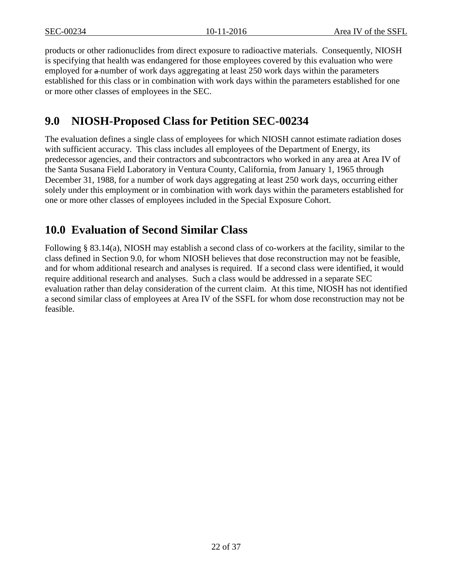products or other radionuclides from direct exposure to radioactive materials. Consequently, NIOSH is specifying that health was endangered for those employees covered by this evaluation who were employed for a number of work days aggregating at least 250 work days within the parameters established for this class or in combination with work days within the parameters established for one or more other classes of employees in the SEC.

### <span id="page-21-0"></span>**9.0 NIOSH-Proposed Class for Petition SEC-00234**

The evaluation defines a single class of employees for which NIOSH cannot estimate radiation doses with sufficient accuracy. This class includes all employees of the Department of Energy, its predecessor agencies, and their contractors and subcontractors who worked in any area at Area IV of the Santa Susana Field Laboratory in Ventura County, California, from January 1, 1965 through December 31, 1988, for a number of work days aggregating at least 250 work days, occurring either solely under this employment or in combination with work days within the parameters established for one or more other classes of employees included in the Special Exposure Cohort.

## <span id="page-21-1"></span>**10.0 Evaluation of Second Similar Class**

Following § 83.14(a), NIOSH may establish a second class of co-workers at the facility, similar to the class defined in Section 9.0, for whom NIOSH believes that dose reconstruction may not be feasible, and for whom additional research and analyses is required. If a second class were identified, it would require additional research and analyses. Such a class would be addressed in a separate SEC evaluation rather than delay consideration of the current claim. At this time, NIOSH has not identified a second similar class of employees at Area IV of the SSFL for whom dose reconstruction may not be feasible.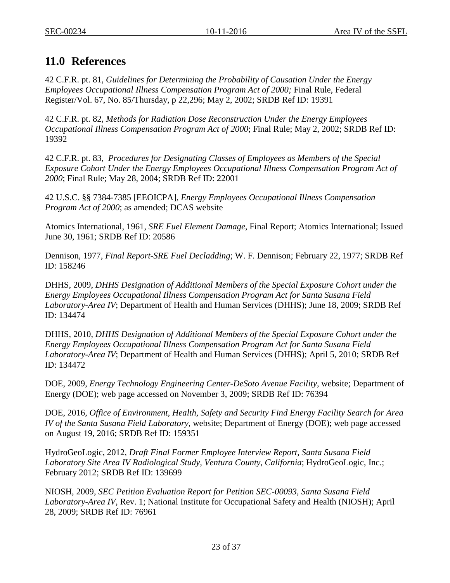## <span id="page-22-0"></span>**11.0 References**

42 C.F.R. pt. 81, *Guidelines for Determining the Probability of Causation Under the Energy Employees Occupational Illness Compensation Program Act of 2000;* Final Rule, Federal Register/Vol. 67, No. 85/Thursday, p 22,296; May 2, 2002; SRDB Ref ID: 19391

42 C.F.R. pt. 82, *Methods for Radiation Dose Reconstruction Under the Energy Employees Occupational Illness Compensation Program Act of 2000*; Final Rule; May 2, 2002; SRDB Ref ID: 19392

42 C.F.R. pt. 83, *Procedures for Designating Classes of Employees as Members of the Special Exposure Cohort Under the Energy Employees Occupational Illness Compensation Program Act of 2000*; Final Rule; May 28, 2004; SRDB Ref ID: 22001

42 U.S.C. §§ 7384-7385 [EEOICPA], *Energy Employees Occupational Illness Compensation Program Act of 2000*; as amended; DCAS website

Atomics International, 1961, *SRE Fuel Element Damage*, Final Report; Atomics International; Issued June 30, 1961; SRDB Ref ID: 20586

Dennison, 1977, *Final Report-SRE Fuel Decladding*; W. F. Dennison; February 22, 1977; SRDB Ref ID: 158246

DHHS, 2009, *DHHS Designation of Additional Members of the Special Exposure Cohort under the Energy Employees Occupational Illness Compensation Program Act for Santa Susana Field Laboratory-Area IV*; Department of Health and Human Services (DHHS); June 18, 2009; SRDB Ref ID: 134474

DHHS, 2010, *DHHS Designation of Additional Members of the Special Exposure Cohort under the Energy Employees Occupational Illness Compensation Program Act for Santa Susana Field Laboratory-Area IV*; Department of Health and Human Services (DHHS); April 5, 2010; SRDB Ref ID: 134472

DOE, 2009, *Energy Technology Engineering Center-DeSoto Avenue Facility*, website; Department of Energy (DOE); web page accessed on November 3, 2009; SRDB Ref ID: 76394

DOE, 2016, *Office of Environment, Health, Safety and Security Find Energy Facility Search for Area IV of the Santa Susana Field Laboratory*, website; Department of Energy (DOE); web page accessed on August 19, 2016; SRDB Ref ID: 159351

HydroGeoLogic, 2012, *Draft Final Former Employee Interview Report, Santa Susana Field Laboratory Site Area IV Radiological Study, Ventura County, California*; HydroGeoLogic, Inc.; February 2012; SRDB Ref ID: 139699

NIOSH, 2009, *SEC Petition Evaluation Report for Petition SEC-00093, Santa Susana Field Laboratory-Area IV*, Rev. 1; National Institute for Occupational Safety and Health (NIOSH); April 28, 2009; SRDB Ref ID: 76961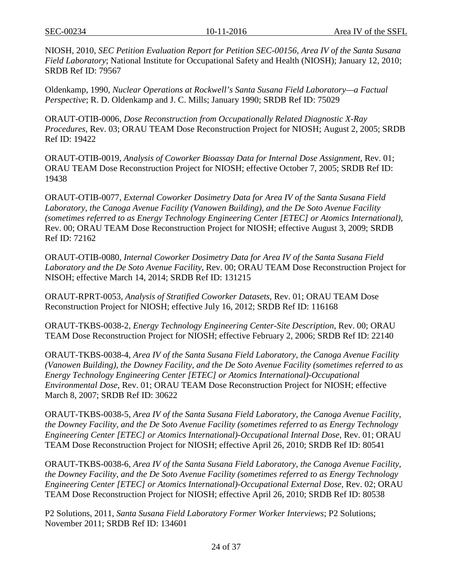NIOSH, 2010, *SEC Petition Evaluation Report for Petition SEC-00156, Area IV of the Santa Susana Field Laboratory*; National Institute for Occupational Safety and Health (NIOSH); January 12, 2010; SRDB Ref ID: 79567

Oldenkamp, 1990, *Nuclear Operations at Rockwell's Santa Susana Field Laboratory—a Factual Perspective*; R. D. Oldenkamp and J. C. Mills; January 1990; SRDB Ref ID: 75029

ORAUT-OTIB-0006, *Dose Reconstruction from Occupationally Related Diagnostic X-Ray Procedures*, Rev. 03; ORAU TEAM Dose Reconstruction Project for NIOSH; August 2, 2005; SRDB Ref ID: 19422

ORAUT-OTIB-0019, *Analysis of Coworker Bioassay Data for Internal Dose Assignment*, Rev. 01; ORAU TEAM Dose Reconstruction Project for NIOSH; effective October 7, 2005; SRDB Ref ID: 19438

ORAUT-OTIB-0077, *External Coworker Dosimetry Data for Area IV of the Santa Susana Field Laboratory, the Canoga Avenue Facility (Vanowen Building), and the De Soto Avenue Facility (sometimes referred to as Energy Technology Engineering Center [ETEC] or Atomics International)*, Rev. 00; ORAU TEAM Dose Reconstruction Project for NIOSH; effective August 3, 2009; SRDB Ref ID: 72162

ORAUT-OTIB-0080, *Internal Coworker Dosimetry Data for Area IV of the Santa Susana Field Laboratory and the De Soto Avenue Facility*, Rev. 00; ORAU TEAM Dose Reconstruction Project for NISOH; effective March 14, 2014; SRDB Ref ID: 131215

ORAUT-RPRT-0053, *Analysis of Stratified Coworker Datasets*, Rev. 01; ORAU TEAM Dose Reconstruction Project for NIOSH; effective July 16, 2012; SRDB Ref ID: 116168

ORAUT-TKBS-0038-2, *Energy Technology Engineering Center-Site Description*, Rev. 00; ORAU TEAM Dose Reconstruction Project for NIOSH; effective February 2, 2006; SRDB Ref ID: 22140

ORAUT-TKBS-0038-4, *Area IV of the Santa Susana Field Laboratory, the Canoga Avenue Facility (Vanowen Building), the Downey Facility, and the De Soto Avenue Facility (sometimes referred to as Energy Technology Engineering Center [ETEC] or Atomics International)-Occupational Environmental Dose*, Rev. 01; ORAU TEAM Dose Reconstruction Project for NIOSH; effective March 8, 2007; SRDB Ref ID: 30622

ORAUT-TKBS-0038-5, *Area IV of the Santa Susana Field Laboratory, the Canoga Avenue Facility, the Downey Facility, and the De Soto Avenue Facility (sometimes referred to as Energy Technology Engineering Center [ETEC] or Atomics International)-Occupational Internal Dose*, Rev. 01; ORAU TEAM Dose Reconstruction Project for NIOSH; effective April 26, 2010; SRDB Ref ID: 80541

ORAUT-TKBS-0038-6, *Area IV of the Santa Susana Field Laboratory, the Canoga Avenue Facility, the Downey Facility, and the De Soto Avenue Facility (sometimes referred to as Energy Technology Engineering Center [ETEC] or Atomics International)-Occupational External Dose*, Rev. 02; ORAU TEAM Dose Reconstruction Project for NIOSH; effective April 26, 2010; SRDB Ref ID: 80538

P2 Solutions, 2011, *Santa Susana Field Laboratory Former Worker Interviews*; P2 Solutions; November 2011; SRDB Ref ID: 134601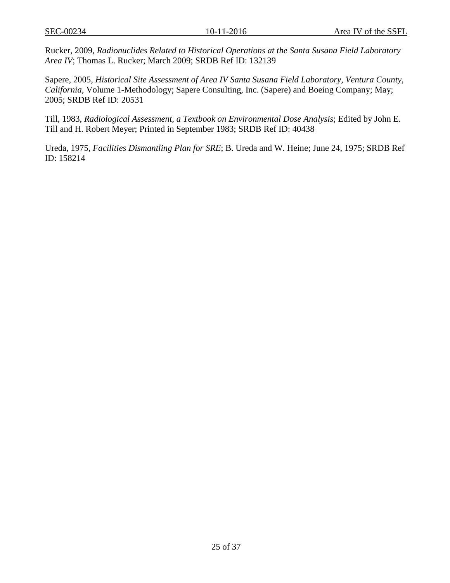Rucker, 2009, *Radionuclides Related to Historical Operations at the Santa Susana Field Laboratory Area IV*; Thomas L. Rucker; March 2009; SRDB Ref ID: 132139

Sapere, 2005, *Historical Site Assessment of Area IV Santa Susana Field Laboratory, Ventura County, California*, Volume 1-Methodology; Sapere Consulting, Inc. (Sapere) and Boeing Company; May; 2005; SRDB Ref ID: 20531

Till, 1983, *Radiological Assessment, a Textbook on Environmental Dose Analysis*; Edited by John E. Till and H. Robert Meyer; Printed in September 1983; SRDB Ref ID: 40438

Ureda, 1975, *Facilities Dismantling Plan for SRE*; B. Ureda and W. Heine; June 24, 1975; SRDB Ref ID: 158214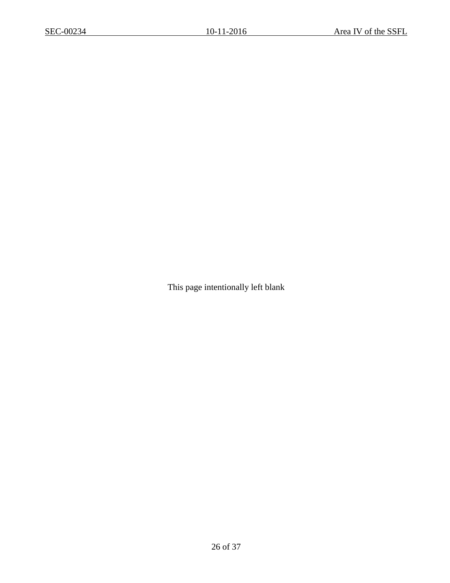This page intentionally left blank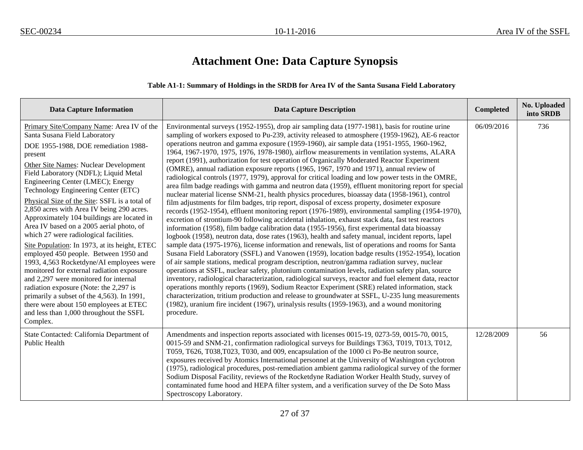# **Attachment One: Data Capture Synopsis**

#### **Table A1-1: Summary of Holdings in the SRDB for Area IV of the Santa Susana Field Laboratory**

<span id="page-26-1"></span><span id="page-26-0"></span>

| <b>Data Capture Information</b>                                                                                                                                                                                                                                                                                                                                                                                                                                                                                                                                                                                                                                                                                                                                                                                                                                                                                                                    | <b>Data Capture Description</b>                                                                                                                                                                                                                                                                                                                                                                                                                                                                                                                                                                                                                                                                                                                                                                                                                                                                                                                                                                                                                                                                                                                                                                                                                                                                                                                                                                                                                                                                                                                                                                                                                                                                                                                                                                                                                                                                                                                                                                                                                                                                                                                                                                                                                                        | Completed  | No. Uploaded<br>into SRDB |
|----------------------------------------------------------------------------------------------------------------------------------------------------------------------------------------------------------------------------------------------------------------------------------------------------------------------------------------------------------------------------------------------------------------------------------------------------------------------------------------------------------------------------------------------------------------------------------------------------------------------------------------------------------------------------------------------------------------------------------------------------------------------------------------------------------------------------------------------------------------------------------------------------------------------------------------------------|------------------------------------------------------------------------------------------------------------------------------------------------------------------------------------------------------------------------------------------------------------------------------------------------------------------------------------------------------------------------------------------------------------------------------------------------------------------------------------------------------------------------------------------------------------------------------------------------------------------------------------------------------------------------------------------------------------------------------------------------------------------------------------------------------------------------------------------------------------------------------------------------------------------------------------------------------------------------------------------------------------------------------------------------------------------------------------------------------------------------------------------------------------------------------------------------------------------------------------------------------------------------------------------------------------------------------------------------------------------------------------------------------------------------------------------------------------------------------------------------------------------------------------------------------------------------------------------------------------------------------------------------------------------------------------------------------------------------------------------------------------------------------------------------------------------------------------------------------------------------------------------------------------------------------------------------------------------------------------------------------------------------------------------------------------------------------------------------------------------------------------------------------------------------------------------------------------------------------------------------------------------------|------------|---------------------------|
| Primary Site/Company Name: Area IV of the<br>Santa Susana Field Laboratory<br>DOE 1955-1988, DOE remediation 1988-<br>present<br>Other Site Names: Nuclear Development<br>Field Laboratory (NDFL); Liquid Metal<br>Engineering Center (LMEC); Energy<br>Technology Engineering Center (ETC)<br>Physical Size of the Site: SSFL is a total of<br>2,850 acres with Area IV being 290 acres.<br>Approximately 104 buildings are located in<br>Area IV based on a 2005 aerial photo, of<br>which 27 were radiological facilities.<br>Site Population: In 1973, at its height, ETEC<br>employed 450 people. Between 1950 and<br>1993, 4,563 Rocketdyne/AI employees were<br>monitored for external radiation exposure<br>and 2,297 were monitored for internal<br>radiation exposure (Note: the 2,297 is<br>primarily a subset of the 4,563). In 1991,<br>there were about 150 employees at ETEC<br>and less than 1,000 throughout the SSFL<br>Complex. | Environmental surveys (1952-1955), drop air sampling data (1977-1981), basis for routine urine<br>sampling of workers exposed to Pu-239, activity released to atmosphere (1959-1962), AE-6 reactor<br>operations neutron and gamma exposure (1959-1960), air sample data (1951-1955, 1960-1962,<br>1964, 1967-1970, 1975, 1976, 1978-1980), airflow measurements in ventilation systems, ALARA<br>report (1991), authorization for test operation of Organically Moderated Reactor Experiment<br>(OMRE), annual radiation exposure reports (1965, 1967, 1970 and 1971), annual review of<br>radiological controls (1977, 1979), approval for critical loading and low power tests in the OMRE,<br>area film badge readings with gamma and neutron data (1959), effluent monitoring report for special<br>nuclear material license SNM-21, health physics procedures, bioassay data (1958-1961), control<br>film adjustments for film badges, trip report, disposal of excess property, dosimeter exposure<br>records (1952-1954), effluent monitoring report (1976-1989), environmental sampling (1954-1970),<br>excretion of strontium-90 following accidental inhalation, exhaust stack data, fast test reactors<br>information (1958), film badge calibration data (1955-1956), first experimental data bioassay<br>logbook (1958), neutron data, dose rates (1963), health and safety manual, incident reports, lapel<br>sample data (1975-1976), license information and renewals, list of operations and rooms for Santa<br>Susana Field Laboratory (SSFL) and Vanowen (1959), location badge results (1952-1954), location<br>of air sample stations, medical program description, neutron/gamma radiation survey, nuclear<br>operations at SSFL, nuclear safety, plutonium contamination levels, radiation safety plan, source<br>inventory, radiological characterization, radiological surveys, reactor and fuel element data, reactor<br>operations monthly reports (1969), Sodium Reactor Experiment (SRE) related information, stack<br>characterization, tritium production and release to groundwater at SSFL, U-235 lung measurements<br>$(1982)$ , uranium fire incident (1967), urinalysis results (1959-1963), and a wound monitoring<br>procedure. | 06/09/2016 | 736                       |
| State Contacted: California Department of<br>Public Health                                                                                                                                                                                                                                                                                                                                                                                                                                                                                                                                                                                                                                                                                                                                                                                                                                                                                         | Amendments and inspection reports associated with licenses 0015-19, 0273-59, 0015-70, 0015,<br>0015-59 and SNM-21, confirmation radiological surveys for Buildings T363, T019, T013, T012,<br>T059, T626, T038, T023, T030, and 009, encapsulation of the 1000 ci Po-Be neutron source,<br>exposures received by Atomics International personnel at the University of Washington cyclotron<br>(1975), radiological procedures, post-remediation ambient gamma radiological survey of the former<br>Sodium Disposal Facility, reviews of the Rocketdyne Radiation Worker Health Study, survey of<br>contaminated fume hood and HEPA filter system, and a verification survey of the De Soto Mass<br>Spectroscopy Laboratory.                                                                                                                                                                                                                                                                                                                                                                                                                                                                                                                                                                                                                                                                                                                                                                                                                                                                                                                                                                                                                                                                                                                                                                                                                                                                                                                                                                                                                                                                                                                                            | 12/28/2009 | 56                        |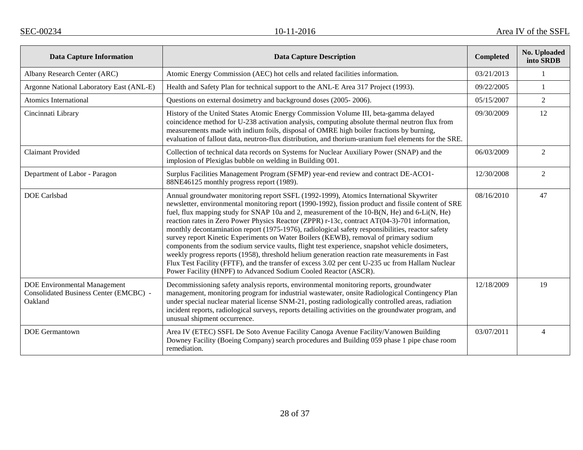| <b>Data Capture Information</b>                                                                 | <b>Data Capture Description</b>                                                                                                                                                                                                                                                                                                                                                                                                                                                                                                                                                                                                                                                                                                                                                                                                                                                                                                                                       | Completed  | No. Uploaded<br>into SRDB |
|-------------------------------------------------------------------------------------------------|-----------------------------------------------------------------------------------------------------------------------------------------------------------------------------------------------------------------------------------------------------------------------------------------------------------------------------------------------------------------------------------------------------------------------------------------------------------------------------------------------------------------------------------------------------------------------------------------------------------------------------------------------------------------------------------------------------------------------------------------------------------------------------------------------------------------------------------------------------------------------------------------------------------------------------------------------------------------------|------------|---------------------------|
| Albany Research Center (ARC)                                                                    | Atomic Energy Commission (AEC) hot cells and related facilities information.                                                                                                                                                                                                                                                                                                                                                                                                                                                                                                                                                                                                                                                                                                                                                                                                                                                                                          | 03/21/2013 | $\mathbf{1}$              |
| Argonne National Laboratory East (ANL-E)                                                        | Health and Safety Plan for technical support to the ANL-E Area 317 Project (1993).                                                                                                                                                                                                                                                                                                                                                                                                                                                                                                                                                                                                                                                                                                                                                                                                                                                                                    | 09/22/2005 | $\mathbf{1}$              |
| Atomics International                                                                           | Questions on external dosimetry and background doses (2005-2006).                                                                                                                                                                                                                                                                                                                                                                                                                                                                                                                                                                                                                                                                                                                                                                                                                                                                                                     | 05/15/2007 | 2                         |
| Cincinnati Library                                                                              | History of the United States Atomic Energy Commission Volume III, beta-gamma delayed<br>coincidence method for U-238 activation analysis, computing absolute thermal neutron flux from<br>measurements made with indium foils, disposal of OMRE high boiler fractions by burning,<br>evaluation of fallout data, neutron-flux distribution, and thorium-uranium fuel elements for the SRE.                                                                                                                                                                                                                                                                                                                                                                                                                                                                                                                                                                            | 09/30/2009 | 12                        |
| <b>Claimant Provided</b>                                                                        | Collection of technical data records on Systems for Nuclear Auxiliary Power (SNAP) and the<br>implosion of Plexiglas bubble on welding in Building 001.                                                                                                                                                                                                                                                                                                                                                                                                                                                                                                                                                                                                                                                                                                                                                                                                               | 06/03/2009 | $\overline{2}$            |
| Department of Labor - Paragon                                                                   | Surplus Facilities Management Program (SFMP) year-end review and contract DE-ACO1-<br>88NE46125 monthly progress report (1989).                                                                                                                                                                                                                                                                                                                                                                                                                                                                                                                                                                                                                                                                                                                                                                                                                                       | 12/30/2008 | $\overline{2}$            |
| <b>DOE</b> Carlsbad                                                                             | Annual groundwater monitoring report SSFL (1992-1999), Atomics International Skywriter<br>newsletter, environmental monitoring report (1990-1992), fission product and fissile content of SRE<br>fuel, flux mapping study for SNAP 10a and 2, measurement of the 10-B(N, He) and 6-Li(N, He)<br>reaction rates in Zero Power Physics Reactor (ZPPR) r-13c, contract AT(04-3)-701 information,<br>monthly decontamination report (1975-1976), radiological safety responsibilities, reactor safety<br>survey report Kinetic Experiments on Water Boilers (KEWB), removal of primary sodium<br>components from the sodium service vaults, flight test experience, snapshot vehicle dosimeters,<br>weekly progress reports (1958), threshold helium generation reaction rate measurements in Fast<br>Flux Test Facility (FFTF), and the transfer of excess 3.02 per cent U-235 uc from Hallam Nuclear<br>Power Facility (HNPF) to Advanced Sodium Cooled Reactor (ASCR). | 08/16/2010 | 47                        |
| <b>DOE</b> Environmental Management<br><b>Consolidated Business Center (EMCBC) -</b><br>Oakland | Decommissioning safety analysis reports, environmental monitoring reports, groundwater<br>management, monitoring program for industrial wastewater, onsite Radiological Contingency Plan<br>under special nuclear material license SNM-21, posting radiologically controlled areas, radiation<br>incident reports, radiological surveys, reports detailing activities on the groundwater program, and<br>unusual shipment occurrence.                                                                                                                                                                                                                                                                                                                                                                                                                                                                                                                                 | 12/18/2009 | 19                        |
| <b>DOE</b> Germantown                                                                           | Area IV (ETEC) SSFL De Soto Avenue Facility Canoga Avenue Facility/Vanowen Building<br>Downey Facility (Boeing Company) search procedures and Building 059 phase 1 pipe chase room<br>remediation.                                                                                                                                                                                                                                                                                                                                                                                                                                                                                                                                                                                                                                                                                                                                                                    | 03/07/2011 |                           |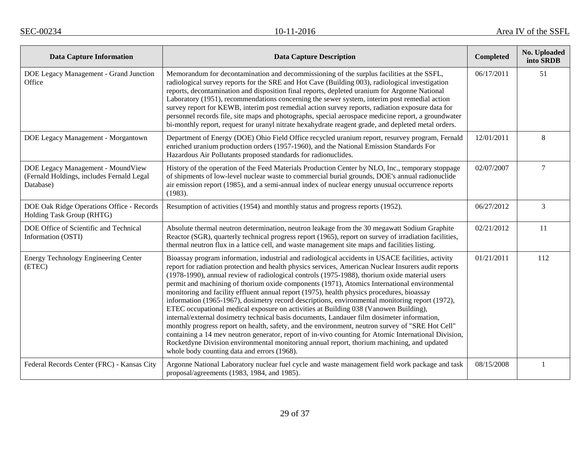| <b>Data Capture Information</b>                                                             | <b>Data Capture Description</b>                                                                                                                                                                                                                                                                                                                                                                                                                                                                                                                                                                                                                                                                                                                                                                                                                                                                                                                                                                                                                                                                                                                             | Completed  | No. Uploaded<br>into SRDB |
|---------------------------------------------------------------------------------------------|-------------------------------------------------------------------------------------------------------------------------------------------------------------------------------------------------------------------------------------------------------------------------------------------------------------------------------------------------------------------------------------------------------------------------------------------------------------------------------------------------------------------------------------------------------------------------------------------------------------------------------------------------------------------------------------------------------------------------------------------------------------------------------------------------------------------------------------------------------------------------------------------------------------------------------------------------------------------------------------------------------------------------------------------------------------------------------------------------------------------------------------------------------------|------------|---------------------------|
| DOE Legacy Management - Grand Junction<br>Office                                            | Memorandum for decontamination and decommissioning of the surplus facilities at the SSFL,<br>radiological survey reports for the SRE and Hot Cave (Building 003), radiological investigation<br>reports, decontamination and disposition final reports, depleted uranium for Argonne National<br>Laboratory (1951), recommendations concerning the sewer system, interim post remedial action<br>survey report for KEWB, interim post remedial action survey reports, radiation exposure data for<br>personnel records file, site maps and photographs, special aerospace medicine report, a groundwater<br>bi-monthly report, request for uranyl nitrate hexahydrate reagent grade, and depleted metal orders.                                                                                                                                                                                                                                                                                                                                                                                                                                             | 06/17/2011 | 51                        |
| DOE Legacy Management - Morgantown                                                          | Department of Energy (DOE) Ohio Field Office recycled uranium report, resurvey program, Fernald<br>enriched uranium production orders (1957-1960), and the National Emission Standards For<br>Hazardous Air Pollutants proposed standards for radionuclides.                                                                                                                                                                                                                                                                                                                                                                                                                                                                                                                                                                                                                                                                                                                                                                                                                                                                                                | 12/01/2011 | 8                         |
| DOE Legacy Management - MoundView<br>(Fernald Holdings, includes Fernald Legal<br>Database) | History of the operation of the Feed Materials Production Center by NLO, Inc., temporary stoppage<br>of shipments of low-level nuclear waste to commercial burial grounds, DOE's annual radionuclide<br>air emission report (1985), and a semi-annual index of nuclear energy unusual occurrence reports<br>(1983).                                                                                                                                                                                                                                                                                                                                                                                                                                                                                                                                                                                                                                                                                                                                                                                                                                         | 02/07/2007 | $\tau$                    |
| DOE Oak Ridge Operations Office - Records<br>Holding Task Group (RHTG)                      | Resumption of activities (1954) and monthly status and progress reports (1952).                                                                                                                                                                                                                                                                                                                                                                                                                                                                                                                                                                                                                                                                                                                                                                                                                                                                                                                                                                                                                                                                             | 06/27/2012 | 3                         |
| DOE Office of Scientific and Technical<br>Information (OSTI)                                | Absolute thermal neutron determination, neutron leakage from the 30 megawatt Sodium Graphite<br>Reactor (SGR), quarterly technical progress report (1965), report on survey of irradiation facilities,<br>thermal neutron flux in a lattice cell, and waste management site maps and facilities listing.                                                                                                                                                                                                                                                                                                                                                                                                                                                                                                                                                                                                                                                                                                                                                                                                                                                    | 02/21/2012 | 11                        |
| Energy Technology Engineering Center<br>(ETEC)                                              | Bioassay program information, industrial and radiological accidents in USACE facilities, activity<br>report for radiation protection and health physics services, American Nuclear Insurers audit reports<br>(1978-1990), annual review of radiological controls (1975-1988), thorium oxide material users<br>permit and machining of thorium oxide components (1971), Atomics International environmental<br>monitoring and facility effluent annual report (1975), health physics procedures, bioassay<br>information (1965-1967), dosimetry record descriptions, environmental monitoring report (1972),<br>ETEC occupational medical exposure on activities at Building 038 (Vanowen Building),<br>internal/external dosimetry technical basis documents, Landauer film dosimeter information,<br>monthly progress report on health, safety, and the environment, neutron survey of "SRE Hot Cell"<br>containing a 14 mev neutron generator, report of in-vivo counting for Atomic International Division,<br>Rocketdyne Division environmental monitoring annual report, thorium machining, and updated<br>whole body counting data and errors (1968). | 01/21/2011 | 112                       |
| Federal Records Center (FRC) - Kansas City                                                  | Argonne National Laboratory nuclear fuel cycle and waste management field work package and task<br>proposal/agreements (1983, 1984, and 1985).                                                                                                                                                                                                                                                                                                                                                                                                                                                                                                                                                                                                                                                                                                                                                                                                                                                                                                                                                                                                              | 08/15/2008 |                           |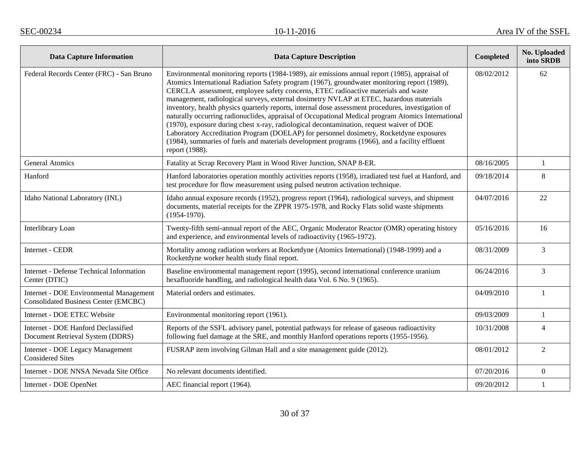| <b>Data Capture Information</b>                                                        | <b>Data Capture Description</b>                                                                                                                                                                                                                                                                                                                                                                                                                                                                                                                                                                                                                                                                                                                                                                                                                                                                      | Completed  | <b>No. Uploaded</b><br>into SRDB |
|----------------------------------------------------------------------------------------|------------------------------------------------------------------------------------------------------------------------------------------------------------------------------------------------------------------------------------------------------------------------------------------------------------------------------------------------------------------------------------------------------------------------------------------------------------------------------------------------------------------------------------------------------------------------------------------------------------------------------------------------------------------------------------------------------------------------------------------------------------------------------------------------------------------------------------------------------------------------------------------------------|------------|----------------------------------|
| Federal Records Center (FRC) - San Bruno                                               | Environmental monitoring reports (1984-1989), air emissions annual report (1985), appraisal of<br>Atomics International Radiation Safety program (1967), groundwater monitoring report (1989),<br>CERCLA assessment, employee safety concerns, ETEC radioactive materials and waste<br>management, radiological surveys, external dosimetry NVLAP at ETEC, hazardous materials<br>inventory, health physics quarterly reports, internal dose assessment procedures, investigation of<br>naturally occurring radionuclides, appraisal of Occupational Medical program Atomics International<br>(1970), exposure during chest x-ray, radiological decontamination, request waiver of DOE<br>Laboratory Accreditation Program (DOELAP) for personnel dosimetry, Rocketdyne exposures<br>(1984), summaries of fuels and materials development programs (1966), and a facility effluent<br>report (1988). | 08/02/2012 | 62                               |
| <b>General Atomics</b>                                                                 | Fatality at Scrap Recovery Plant in Wood River Junction, SNAP 8-ER.                                                                                                                                                                                                                                                                                                                                                                                                                                                                                                                                                                                                                                                                                                                                                                                                                                  | 08/16/2005 | $\mathbf{1}$                     |
| Hanford                                                                                | Hanford laboratories operation monthly activities reports (1958), irradiated test fuel at Hanford, and<br>test procedure for flow measurement using pulsed neutron activation technique.                                                                                                                                                                                                                                                                                                                                                                                                                                                                                                                                                                                                                                                                                                             | 09/18/2014 | $8\,$                            |
| Idaho National Laboratory (INL)                                                        | Idaho annual exposure records (1952), progress report (1964), radiological surveys, and shipment<br>documents, material receipts for the ZPPR 1975-1978, and Rocky Flats solid waste shipments<br>$(1954 - 1970).$                                                                                                                                                                                                                                                                                                                                                                                                                                                                                                                                                                                                                                                                                   | 04/07/2016 | 22                               |
| Interlibrary Loan                                                                      | Twenty-fifth semi-annual report of the AEC, Organic Moderator Reactor (OMR) operating history<br>and experience, and environmental levels of radioactivity (1965-1972).                                                                                                                                                                                                                                                                                                                                                                                                                                                                                                                                                                                                                                                                                                                              | 05/16/2016 | 16                               |
| Internet - CEDR                                                                        | Mortality among radiation workers at Rocketdyne (Atomics International) (1948-1999) and a<br>Rocketdyne worker health study final report.                                                                                                                                                                                                                                                                                                                                                                                                                                                                                                                                                                                                                                                                                                                                                            | 08/31/2009 | 3                                |
| Internet - Defense Technical Information<br>Center (DTIC)                              | Baseline environmental management report (1995), second international conference uranium<br>hexafluoride handling, and radiological health data Vol. 6 No. 9 (1965).                                                                                                                                                                                                                                                                                                                                                                                                                                                                                                                                                                                                                                                                                                                                 | 06/24/2016 | 3                                |
| Internet - DOE Environmental Management<br><b>Consolidated Business Center (EMCBC)</b> | Material orders and estimates.                                                                                                                                                                                                                                                                                                                                                                                                                                                                                                                                                                                                                                                                                                                                                                                                                                                                       | 04/09/2010 | $\mathbf{1}$                     |
| Internet - DOE ETEC Website                                                            | Environmental monitoring report (1961).                                                                                                                                                                                                                                                                                                                                                                                                                                                                                                                                                                                                                                                                                                                                                                                                                                                              | 09/03/2009 | $\mathbf{1}$                     |
| Internet - DOE Hanford Declassified<br>Document Retrieval System (DDRS)                | Reports of the SSFL advisory panel, potential pathways for release of gaseous radioactivity<br>following fuel damage at the SRE, and monthly Hanford operations reports (1955-1956).                                                                                                                                                                                                                                                                                                                                                                                                                                                                                                                                                                                                                                                                                                                 | 10/31/2008 | $\overline{4}$                   |
| Internet - DOE Legacy Management<br><b>Considered Sites</b>                            | FUSRAP item involving Gilman Hall and a site management guide (2012).                                                                                                                                                                                                                                                                                                                                                                                                                                                                                                                                                                                                                                                                                                                                                                                                                                | 08/01/2012 | $\overline{2}$                   |
| Internet - DOE NNSA Nevada Site Office                                                 | No relevant documents identified.                                                                                                                                                                                                                                                                                                                                                                                                                                                                                                                                                                                                                                                                                                                                                                                                                                                                    | 07/20/2016 | $\mathbf{0}$                     |
| Internet - DOE OpenNet                                                                 | AEC financial report (1964).                                                                                                                                                                                                                                                                                                                                                                                                                                                                                                                                                                                                                                                                                                                                                                                                                                                                         | 09/20/2012 | $\mathbf{1}$                     |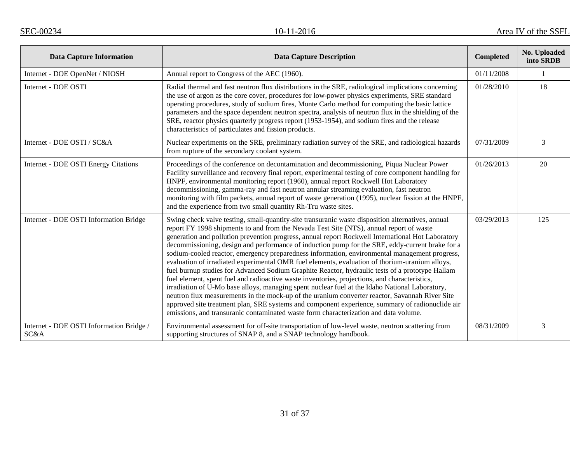| <b>Data Capture Information</b>                  | <b>Data Capture Description</b>                                                                                                                                                                                                                                                                                                                                                                                                                                                                                                                                                                                                                                                                                                                                                                                                                                                                                                                                                                                                                                                                                                                                                                            | Completed  | No. Uploaded<br>into SRDB |
|--------------------------------------------------|------------------------------------------------------------------------------------------------------------------------------------------------------------------------------------------------------------------------------------------------------------------------------------------------------------------------------------------------------------------------------------------------------------------------------------------------------------------------------------------------------------------------------------------------------------------------------------------------------------------------------------------------------------------------------------------------------------------------------------------------------------------------------------------------------------------------------------------------------------------------------------------------------------------------------------------------------------------------------------------------------------------------------------------------------------------------------------------------------------------------------------------------------------------------------------------------------------|------------|---------------------------|
| Internet - DOE OpenNet / NIOSH                   | Annual report to Congress of the AEC (1960).                                                                                                                                                                                                                                                                                                                                                                                                                                                                                                                                                                                                                                                                                                                                                                                                                                                                                                                                                                                                                                                                                                                                                               | 01/11/2008 |                           |
| Internet - DOE OSTI                              | Radial thermal and fast neutron flux distributions in the SRE, radiological implications concerning<br>the use of argon as the core cover, procedures for low-power physics experiments, SRE standard<br>operating procedures, study of sodium fires, Monte Carlo method for computing the basic lattice<br>parameters and the space dependent neutron spectra, analysis of neutron flux in the shielding of the<br>SRE, reactor physics quarterly progress report (1953-1954), and sodium fires and the release<br>characteristics of particulates and fission products.                                                                                                                                                                                                                                                                                                                                                                                                                                                                                                                                                                                                                                  | 01/28/2010 | 18                        |
| Internet - DOE OSTI / SC&A                       | Nuclear experiments on the SRE, preliminary radiation survey of the SRE, and radiological hazards<br>from rupture of the secondary coolant system.                                                                                                                                                                                                                                                                                                                                                                                                                                                                                                                                                                                                                                                                                                                                                                                                                                                                                                                                                                                                                                                         | 07/31/2009 | 3                         |
| Internet - DOE OSTI Energy Citations             | Proceedings of the conference on decontamination and decommissioning, Piqua Nuclear Power<br>Facility surveillance and recovery final report, experimental testing of core component handling for<br>HNPF, environmental monitoring report (1960), annual report Rockwell Hot Laboratory<br>decommissioning, gamma-ray and fast neutron annular streaming evaluation, fast neutron<br>monitoring with film packets, annual report of waste generation (1995), nuclear fission at the HNPF,<br>and the experience from two small quantity Rh-Tru waste sites.                                                                                                                                                                                                                                                                                                                                                                                                                                                                                                                                                                                                                                               | 01/26/2013 | 20                        |
| Internet - DOE OSTI Information Bridge           | Swing check valve testing, small-quantity-site transuranic waste disposition alternatives, annual<br>report FY 1998 shipments to and from the Nevada Test Site (NTS), annual report of waste<br>generation and pollution prevention progress, annual report Rockwell International Hot Laboratory<br>decommissioning, design and performance of induction pump for the SRE, eddy-current brake for a<br>sodium-cooled reactor, emergency preparedness information, environmental management progress,<br>evaluation of irradiated experimental OMR fuel elements, evaluation of thorium-uranium alloys,<br>fuel burnup studies for Advanced Sodium Graphite Reactor, hydraulic tests of a prototype Hallam<br>fuel element, spent fuel and radioactive waste inventories, projections, and characteristics,<br>irradiation of U-Mo base alloys, managing spent nuclear fuel at the Idaho National Laboratory,<br>neutron flux measurements in the mock-up of the uranium converter reactor, Savannah River Site<br>approved site treatment plan, SRE systems and component experience, summary of radionuclide air<br>emissions, and transuranic contaminated waste form characterization and data volume. | 03/29/2013 | 125                       |
| Internet - DOE OSTI Information Bridge /<br>SC&A | Environmental assessment for off-site transportation of low-level waste, neutron scattering from<br>supporting structures of SNAP 8, and a SNAP technology handbook.                                                                                                                                                                                                                                                                                                                                                                                                                                                                                                                                                                                                                                                                                                                                                                                                                                                                                                                                                                                                                                       | 08/31/2009 | 3                         |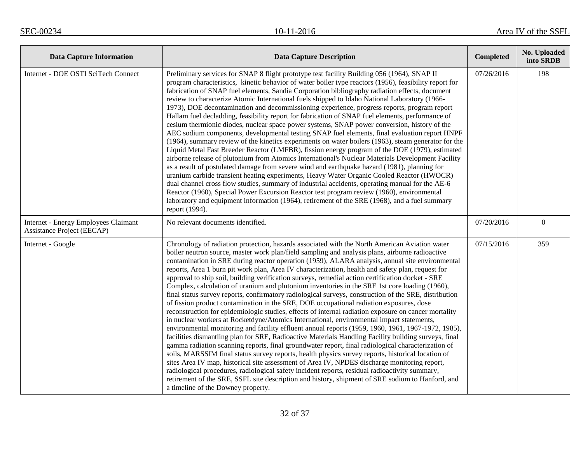| <b>Data Capture Information</b>                                           | <b>Data Capture Description</b>                                                                                                                                                                                                                                                                                                                                                                                                                                                                                                                                                                                                                                                                                                                                                                                                                                                                                                                                                                                                                                                                                                                                                                                                                                                                                                                                                                                                                                                                                                                                                                                                                                                                                                                                                            | Completed  | No. Uploaded<br>into SRDB |
|---------------------------------------------------------------------------|--------------------------------------------------------------------------------------------------------------------------------------------------------------------------------------------------------------------------------------------------------------------------------------------------------------------------------------------------------------------------------------------------------------------------------------------------------------------------------------------------------------------------------------------------------------------------------------------------------------------------------------------------------------------------------------------------------------------------------------------------------------------------------------------------------------------------------------------------------------------------------------------------------------------------------------------------------------------------------------------------------------------------------------------------------------------------------------------------------------------------------------------------------------------------------------------------------------------------------------------------------------------------------------------------------------------------------------------------------------------------------------------------------------------------------------------------------------------------------------------------------------------------------------------------------------------------------------------------------------------------------------------------------------------------------------------------------------------------------------------------------------------------------------------|------------|---------------------------|
| Internet - DOE OSTI SciTech Connect                                       | Preliminary services for SNAP 8 flight prototype test facility Building 056 (1964), SNAP II<br>program characteristics, kinetic behavior of water boiler type reactors (1956), feasibility report for<br>fabrication of SNAP fuel elements, Sandia Corporation bibliography radiation effects, document<br>review to characterize Atomic International fuels shipped to Idaho National Laboratory (1966-<br>1973), DOE decontamination and decommissioning experience, progress reports, program report<br>Hallam fuel decladding, feasibility report for fabrication of SNAP fuel elements, performance of<br>cesium thermionic diodes, nuclear space power systems, SNAP power conversion, history of the<br>AEC sodium components, developmental testing SNAP fuel elements, final evaluation report HNPF<br>(1964), summary review of the kinetics experiments on water boilers (1963), steam generator for the<br>Liquid Metal Fast Breeder Reactor (LMFBR), fission energy program of the DOE (1979), estimated<br>airborne release of plutonium from Atomics International's Nuclear Materials Development Facility<br>as a result of postulated damage from severe wind and earthquake hazard (1981), planning for<br>uranium carbide transient heating experiments, Heavy Water Organic Cooled Reactor (HWOCR)<br>dual channel cross flow studies, summary of industrial accidents, operating manual for the AE-6<br>Reactor (1960), Special Power Excursion Reactor test program review (1960), environmental<br>laboratory and equipment information (1964), retirement of the SRE (1968), and a fuel summary<br>report (1994).                                                                                                                                                 | 07/26/2016 | 198                       |
| Internet - Energy Employees Claimant<br><b>Assistance Project (EECAP)</b> | No relevant documents identified.                                                                                                                                                                                                                                                                                                                                                                                                                                                                                                                                                                                                                                                                                                                                                                                                                                                                                                                                                                                                                                                                                                                                                                                                                                                                                                                                                                                                                                                                                                                                                                                                                                                                                                                                                          | 07/20/2016 | $\overline{0}$            |
| Internet - Google                                                         | Chronology of radiation protection, hazards associated with the North American Aviation water<br>boiler neutron source, master work plan/field sampling and analysis plans, airborne radioactive<br>contamination in SRE during reactor operation (1959), ALARA analysis, annual site environmental<br>reports, Area 1 burn pit work plan, Area IV characterization, health and safety plan, request for<br>approval to ship soil, building verification surveys, remedial action certification docket - SRE<br>Complex, calculation of uranium and plutonium inventories in the SRE 1st core loading (1960),<br>final status survey reports, confirmatory radiological surveys, construction of the SRE, distribution<br>of fission product contamination in the SRE, DOE occupational radiation exposures, dose<br>reconstruction for epidemiologic studies, effects of internal radiation exposure on cancer mortality<br>in nuclear workers at Rocketdyne/Atomics International, environmental impact statements,<br>environmental monitoring and facility effluent annual reports (1959, 1960, 1961, 1967-1972, 1985),<br>facilities dismantling plan for SRE, Radioactive Materials Handling Facility building surveys, final<br>gamma radiation scanning reports, final groundwater report, final radiological characterization of<br>soils, MARSSIM final status survey reports, health physics survey reports, historical location of<br>sites Area IV map, historical site assessment of Area IV, NPDES discharge monitoring report,<br>radiological procedures, radiological safety incident reports, residual radioactivity summary,<br>retirement of the SRE, SSFL site description and history, shipment of SRE sodium to Hanford, and<br>a timeline of the Downey property. | 07/15/2016 | 359                       |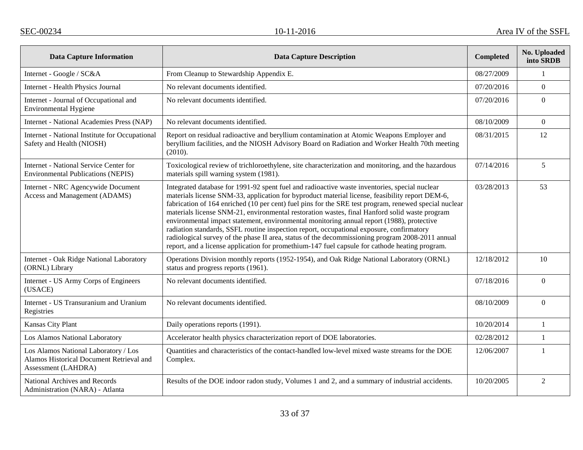| <b>Data Capture Information</b>                                                                         | <b>Data Capture Description</b>                                                                                                                                                                                                                                                                                                                                                                                                                                                                                                                                                                                                                                                                                                                                                                           | Completed  | No. Uploaded<br>into SRDB |
|---------------------------------------------------------------------------------------------------------|-----------------------------------------------------------------------------------------------------------------------------------------------------------------------------------------------------------------------------------------------------------------------------------------------------------------------------------------------------------------------------------------------------------------------------------------------------------------------------------------------------------------------------------------------------------------------------------------------------------------------------------------------------------------------------------------------------------------------------------------------------------------------------------------------------------|------------|---------------------------|
| Internet - Google / SC&A                                                                                | From Cleanup to Stewardship Appendix E.                                                                                                                                                                                                                                                                                                                                                                                                                                                                                                                                                                                                                                                                                                                                                                   | 08/27/2009 | $\mathbf{1}$              |
| Internet - Health Physics Journal                                                                       | No relevant documents identified.                                                                                                                                                                                                                                                                                                                                                                                                                                                                                                                                                                                                                                                                                                                                                                         | 07/20/2016 | $\boldsymbol{0}$          |
| Internet - Journal of Occupational and<br>Environmental Hygiene                                         | No relevant documents identified.                                                                                                                                                                                                                                                                                                                                                                                                                                                                                                                                                                                                                                                                                                                                                                         | 07/20/2016 | $\overline{0}$            |
| <b>Internet - National Academies Press (NAP)</b>                                                        | No relevant documents identified.                                                                                                                                                                                                                                                                                                                                                                                                                                                                                                                                                                                                                                                                                                                                                                         | 08/10/2009 | $\overline{0}$            |
| Internet - National Institute for Occupational<br>Safety and Health (NIOSH)                             | Report on residual radioactive and beryllium contamination at Atomic Weapons Employer and<br>beryllium facilities, and the NIOSH Advisory Board on Radiation and Worker Health 70th meeting<br>(2010).                                                                                                                                                                                                                                                                                                                                                                                                                                                                                                                                                                                                    | 08/31/2015 | 12                        |
| <b>Internet - National Service Center for</b><br><b>Environmental Publications (NEPIS)</b>              | Toxicological review of trichloroethylene, site characterization and monitoring, and the hazardous<br>materials spill warning system (1981).                                                                                                                                                                                                                                                                                                                                                                                                                                                                                                                                                                                                                                                              | 07/14/2016 | 5                         |
| Internet - NRC Agencywide Document<br>Access and Management (ADAMS)                                     | Integrated database for 1991-92 spent fuel and radioactive waste inventories, special nuclear<br>materials license SNM-33, application for byproduct material license, feasibility report DEM-6,<br>fabrication of 164 enriched (10 per cent) fuel pins for the SRE test program, renewed special nuclear<br>materials license SNM-21, environmental restoration wastes, final Hanford solid waste program<br>environmental impact statement, environmental monitoring annual report (1988), protective<br>radiation standards, SSFL routine inspection report, occupational exposure, confirmatory<br>radiological survey of the phase II area, status of the decommissioning program 2008-2011 annual<br>report, and a license application for promethium-147 fuel capsule for cathode heating program. | 03/28/2013 | 53                        |
| Internet - Oak Ridge National Laboratory<br>(ORNL) Library                                              | Operations Division monthly reports (1952-1954), and Oak Ridge National Laboratory (ORNL)<br>status and progress reports (1961).                                                                                                                                                                                                                                                                                                                                                                                                                                                                                                                                                                                                                                                                          | 12/18/2012 | 10                        |
| Internet - US Army Corps of Engineers<br>(USACE)                                                        | No relevant documents identified.                                                                                                                                                                                                                                                                                                                                                                                                                                                                                                                                                                                                                                                                                                                                                                         | 07/18/2016 | $\overline{0}$            |
| Internet - US Transuranium and Uranium<br>Registries                                                    | No relevant documents identified.                                                                                                                                                                                                                                                                                                                                                                                                                                                                                                                                                                                                                                                                                                                                                                         | 08/10/2009 | $\overline{0}$            |
| Kansas City Plant                                                                                       | Daily operations reports (1991).                                                                                                                                                                                                                                                                                                                                                                                                                                                                                                                                                                                                                                                                                                                                                                          | 10/20/2014 | $\mathbf{1}$              |
| Los Alamos National Laboratory                                                                          | Accelerator health physics characterization report of DOE laboratories.                                                                                                                                                                                                                                                                                                                                                                                                                                                                                                                                                                                                                                                                                                                                   | 02/28/2012 | $\mathbf{1}$              |
| Los Alamos National Laboratory / Los<br>Alamos Historical Document Retrieval and<br>Assessment (LAHDRA) | Quantities and characteristics of the contact-handled low-level mixed waste streams for the DOE<br>Complex.                                                                                                                                                                                                                                                                                                                                                                                                                                                                                                                                                                                                                                                                                               | 12/06/2007 |                           |
| National Archives and Records<br>Administration (NARA) - Atlanta                                        | Results of the DOE indoor radon study, Volumes 1 and 2, and a summary of industrial accidents.                                                                                                                                                                                                                                                                                                                                                                                                                                                                                                                                                                                                                                                                                                            | 10/20/2005 | $\overline{2}$            |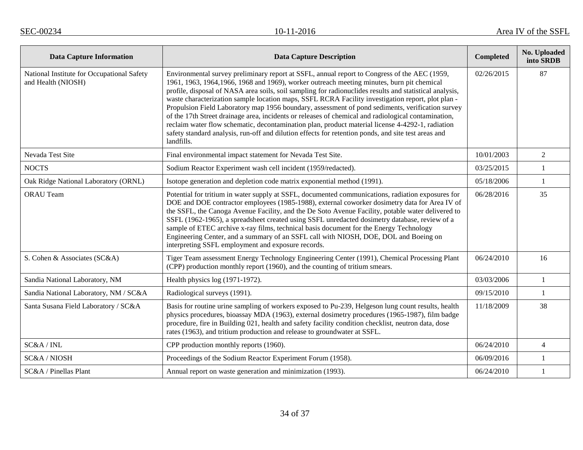| <b>Data Capture Information</b>                                  | <b>Data Capture Description</b>                                                                                                                                                                                                                                                                                                                                                                                                                                                                                                                                                                                                                                                                                                                                                                                                                | Completed  | No. Uploaded<br>into SRDB |
|------------------------------------------------------------------|------------------------------------------------------------------------------------------------------------------------------------------------------------------------------------------------------------------------------------------------------------------------------------------------------------------------------------------------------------------------------------------------------------------------------------------------------------------------------------------------------------------------------------------------------------------------------------------------------------------------------------------------------------------------------------------------------------------------------------------------------------------------------------------------------------------------------------------------|------------|---------------------------|
| National Institute for Occupational Safety<br>and Health (NIOSH) | Environmental survey preliminary report at SSFL, annual report to Congress of the AEC (1959,<br>1961, 1963, 1964, 1966, 1968 and 1969), worker outreach meeting minutes, burn pit chemical<br>profile, disposal of NASA area soils, soil sampling for radionuclides results and statistical analysis,<br>waste characterization sample location maps, SSFL RCRA Facility investigation report, plot plan -<br>Propulsion Field Laboratory map 1956 boundary, assessment of pond sediments, verification survey<br>of the 17th Street drainage area, incidents or releases of chemical and radiological contamination,<br>reclaim water flow schematic, decontamination plan, product material license 4-4292-1, radiation<br>safety standard analysis, run-off and dilution effects for retention ponds, and site test areas and<br>landfills. | 02/26/2015 | 87                        |
| Nevada Test Site                                                 | Final environmental impact statement for Nevada Test Site.                                                                                                                                                                                                                                                                                                                                                                                                                                                                                                                                                                                                                                                                                                                                                                                     | 10/01/2003 | $\overline{2}$            |
| <b>NOCTS</b>                                                     | Sodium Reactor Experiment wash cell incident (1959/redacted).                                                                                                                                                                                                                                                                                                                                                                                                                                                                                                                                                                                                                                                                                                                                                                                  | 03/25/2015 | $\mathbf{1}$              |
| Oak Ridge National Laboratory (ORNL)                             | Isotope generation and depletion code matrix exponential method (1991).                                                                                                                                                                                                                                                                                                                                                                                                                                                                                                                                                                                                                                                                                                                                                                        | 05/18/2006 | 1                         |
| <b>ORAU Team</b>                                                 | Potential for tritium in water supply at SSFL, documented communications, radiation exposures for<br>DOE and DOE contractor employees (1985-1988), external coworker dosimetry data for Area IV of<br>the SSFL, the Canoga Avenue Facility, and the De Soto Avenue Facility, potable water delivered to<br>SSFL (1962-1965), a spreadsheet created using SSFL unredacted dosimetry database, review of a<br>sample of ETEC archive x-ray films, technical basis document for the Energy Technology<br>Engineering Center, and a summary of an SSFL call with NIOSH, DOE, DOL and Boeing on<br>interpreting SSFL employment and exposure records.                                                                                                                                                                                               | 06/28/2016 | 35                        |
| S. Cohen & Associates (SC&A)                                     | Tiger Team assessment Energy Technology Engineering Center (1991), Chemical Processing Plant<br>(CPP) production monthly report (1960), and the counting of tritium smears.                                                                                                                                                                                                                                                                                                                                                                                                                                                                                                                                                                                                                                                                    | 06/24/2010 | 16                        |
| Sandia National Laboratory, NM                                   | Health physics log (1971-1972).                                                                                                                                                                                                                                                                                                                                                                                                                                                                                                                                                                                                                                                                                                                                                                                                                | 03/03/2006 | 1                         |
| Sandia National Laboratory, NM / SC&A                            | Radiological surveys (1991).                                                                                                                                                                                                                                                                                                                                                                                                                                                                                                                                                                                                                                                                                                                                                                                                                   | 09/15/2010 | 1                         |
| Santa Susana Field Laboratory / SC&A                             | Basis for routine urine sampling of workers exposed to Pu-239, Helgeson lung count results, health<br>physics procedures, bioassay MDA (1963), external dosimetry procedures (1965-1987), film badge<br>procedure, fire in Building 021, health and safety facility condition checklist, neutron data, dose<br>rates (1963), and tritium production and release to groundwater at SSFL.                                                                                                                                                                                                                                                                                                                                                                                                                                                        | 11/18/2009 | 38                        |
| SC&A/INL                                                         | CPP production monthly reports (1960).                                                                                                                                                                                                                                                                                                                                                                                                                                                                                                                                                                                                                                                                                                                                                                                                         | 06/24/2010 | 4                         |
| SC&A / NIOSH                                                     | Proceedings of the Sodium Reactor Experiment Forum (1958).                                                                                                                                                                                                                                                                                                                                                                                                                                                                                                                                                                                                                                                                                                                                                                                     | 06/09/2016 | 1                         |
| SC&A / Pinellas Plant                                            | Annual report on waste generation and minimization (1993).                                                                                                                                                                                                                                                                                                                                                                                                                                                                                                                                                                                                                                                                                                                                                                                     | 06/24/2010 | 1                         |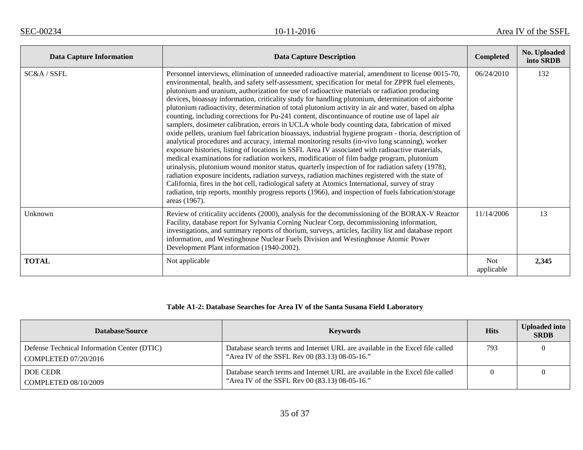| <b>Data Capture Information</b> | <b>Data Capture Description</b>                                                                                                                                                                                                                                                                                                                                                                                                                                                                                                                                                                                                                                                                                                                                                                                                                                                                                                                                                                                                                                                                                                                                                                                                                                                                                                                                                                                                                                                                                                                                             | Completed                | No. Uploaded<br>into SRDB |
|---------------------------------|-----------------------------------------------------------------------------------------------------------------------------------------------------------------------------------------------------------------------------------------------------------------------------------------------------------------------------------------------------------------------------------------------------------------------------------------------------------------------------------------------------------------------------------------------------------------------------------------------------------------------------------------------------------------------------------------------------------------------------------------------------------------------------------------------------------------------------------------------------------------------------------------------------------------------------------------------------------------------------------------------------------------------------------------------------------------------------------------------------------------------------------------------------------------------------------------------------------------------------------------------------------------------------------------------------------------------------------------------------------------------------------------------------------------------------------------------------------------------------------------------------------------------------------------------------------------------------|--------------------------|---------------------------|
| SC&A / SSFL                     | Personnel interviews, elimination of unneeded radioactive material, amendment to license 0015-70,<br>environmental, health, and safety self-assessment, specification for metal for ZPPR fuel elements,<br>plutonium and uranium, authorization for use of radioactive materials or radiation producing<br>devices, bioassay information, criticality study for handling plutonium, determination of airborne<br>plutonium radioactivity, determination of total plutonium activity in air and water, based on alpha<br>counting, including corrections for Pu-241 content, discontinuance of routine use of lapel air<br>samplers, dosimeter calibration, errors in UCLA whole body counting data, fabrication of mixed<br>oxide pellets, uranium fuel fabrication bioassays, industrial hygiene program - thoria, description of<br>analytical procedures and accuracy, internal monitoring results (in-vivo lung scanning), worker<br>exposure histories, listing of locations in SSFL Area IV associated with radioactive materials,<br>medical examinations for radiation workers, modification of film badge program, plutonium<br>urinalysis, plutonium wound monitor status, quarterly inspection of for radiation safety (1978),<br>radiation exposure incidents, radiation surveys, radiation machines registered with the state of<br>California, fires in the hot cell, radiological safety at Atomics International, survey of stray<br>radiation, trip reports, monthly progress reports (1966), and inspection of fuels fabrication/storage<br>areas (1967). | 06/24/2010               | 132                       |
| Unknown                         | Review of criticality accidents (2000), analysis for the decommissioning of the BORAX-V Reactor<br>Facility, database report for Sylvania Corning Nuclear Corp, decommissioning information,<br>investigations, and summary reports of thorium, surveys, articles, facility list and database report<br>information, and Westinghouse Nuclear Fuels Division and Westinghouse Atomic Power<br>Development Plant information (1940-2002).                                                                                                                                                                                                                                                                                                                                                                                                                                                                                                                                                                                                                                                                                                                                                                                                                                                                                                                                                                                                                                                                                                                                    | 11/14/2006               | 13                        |
| <b>TOTAL</b>                    | Not applicable                                                                                                                                                                                                                                                                                                                                                                                                                                                                                                                                                                                                                                                                                                                                                                                                                                                                                                                                                                                                                                                                                                                                                                                                                                                                                                                                                                                                                                                                                                                                                              | <b>Not</b><br>applicable | 2,345                     |

#### **Table A1-2: Database Searches for Area IV of the Santa Susana Field Laboratory**

<span id="page-34-0"></span>

| Database/Source                                                     | <b>Keywords</b>                                                                                                                   | <b>Hits</b> | <b>Uploaded into</b><br><b>SRDB</b> |
|---------------------------------------------------------------------|-----------------------------------------------------------------------------------------------------------------------------------|-------------|-------------------------------------|
| Defense Technical Information Center (DTIC)<br>COMPLETED 07/20/2016 | Database search terms and Internet URL are available in the Excel file called<br>"Area IV of the SSFL Rev 00 (83.13) 08-05-16."   | 793         |                                     |
| DOE CEDR<br><b>COMPLETED 08/10/2009</b>                             | Database search terms and Internet URL are available in the Excel file called<br>"Area IV of the SSFL Rev 00 $(83.13)$ 08-05-16." |             |                                     |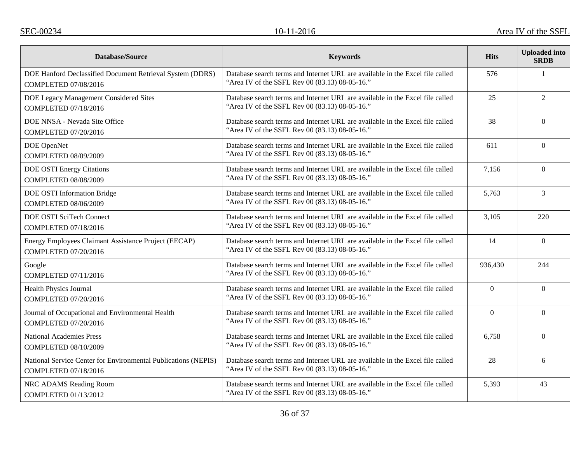| Database/Source                                                                        | <b>Keywords</b>                                                                                                                 | <b>Hits</b> | <b>Uploaded</b> into<br><b>SRDB</b> |
|----------------------------------------------------------------------------------------|---------------------------------------------------------------------------------------------------------------------------------|-------------|-------------------------------------|
| DOE Hanford Declassified Document Retrieval System (DDRS)<br>COMPLETED 07/08/2016      | Database search terms and Internet URL are available in the Excel file called<br>"Area IV of the SSFL Rev 00 (83.13) 08-05-16." | 576         | 1                                   |
| DOE Legacy Management Considered Sites<br>COMPLETED 07/18/2016                         | Database search terms and Internet URL are available in the Excel file called<br>"Area IV of the SSFL Rev 00 (83.13) 08-05-16." | 25          | $\overline{2}$                      |
| DOE NNSA - Nevada Site Office<br>COMPLETED 07/20/2016                                  | Database search terms and Internet URL are available in the Excel file called<br>"Area IV of the SSFL Rev 00 (83.13) 08-05-16." | 38          | $\boldsymbol{0}$                    |
| DOE OpenNet<br>COMPLETED 08/09/2009                                                    | Database search terms and Internet URL are available in the Excel file called<br>"Area IV of the SSFL Rev 00 (83.13) 08-05-16." | 611         | $\overline{0}$                      |
| DOE OSTI Energy Citations<br>COMPLETED 08/08/2009                                      | Database search terms and Internet URL are available in the Excel file called<br>"Area IV of the SSFL Rev 00 (83.13) 08-05-16." | 7,156       | $\boldsymbol{0}$                    |
| DOE OSTI Information Bridge<br>COMPLETED 08/06/2009                                    | Database search terms and Internet URL are available in the Excel file called<br>"Area IV of the SSFL Rev 00 (83.13) 08-05-16." | 5,763       | $\overline{3}$                      |
| <b>DOE OSTI SciTech Connect</b><br>COMPLETED 07/18/2016                                | Database search terms and Internet URL are available in the Excel file called<br>"Area IV of the SSFL Rev 00 (83.13) 08-05-16." | 3,105       | 220                                 |
| Energy Employees Claimant Assistance Project (EECAP)<br>COMPLETED 07/20/2016           | Database search terms and Internet URL are available in the Excel file called<br>"Area IV of the SSFL Rev 00 (83.13) 08-05-16." | 14          | $\overline{0}$                      |
| Google<br>COMPLETED 07/11/2016                                                         | Database search terms and Internet URL are available in the Excel file called<br>"Area IV of the SSFL Rev 00 (83.13) 08-05-16." | 936,430     | 244                                 |
| <b>Health Physics Journal</b><br>COMPLETED 07/20/2016                                  | Database search terms and Internet URL are available in the Excel file called<br>"Area IV of the SSFL Rev 00 (83.13) 08-05-16." | $\Omega$    | $\overline{0}$                      |
| Journal of Occupational and Environmental Health<br>COMPLETED 07/20/2016               | Database search terms and Internet URL are available in the Excel file called<br>"Area IV of the SSFL Rev 00 (83.13) 08-05-16." | $\Omega$    | $\overline{0}$                      |
| <b>National Academies Press</b><br>COMPLETED 08/10/2009                                | Database search terms and Internet URL are available in the Excel file called<br>"Area IV of the SSFL Rev 00 (83.13) 08-05-16." | 6,758       | $\overline{0}$                      |
| National Service Center for Environmental Publications (NEPIS)<br>COMPLETED 07/18/2016 | Database search terms and Internet URL are available in the Excel file called<br>"Area IV of the SSFL Rev 00 (83.13) 08-05-16." | 28          | 6                                   |
| NRC ADAMS Reading Room<br>COMPLETED 01/13/2012                                         | Database search terms and Internet URL are available in the Excel file called<br>"Area IV of the SSFL Rev 00 (83.13) 08-05-16." | 5,393       | 43                                  |